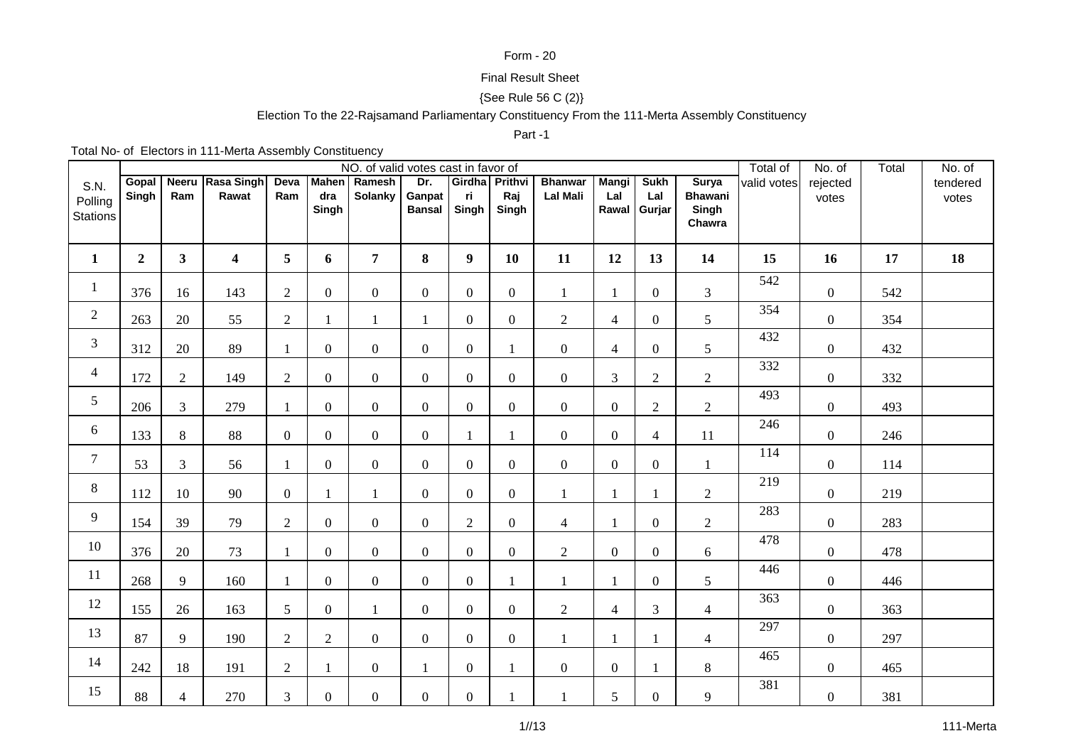### Form - 20

## Final Result Sheet

# {See Rule 56 C (2)}

## Election To the 22-Rajsamand Parliamentary Constituency From the 111-Merta Assembly Constituency

#### Part -1

Total No- of Electors in 111-Merta Assembly Constituency

|                                    |                |                |                           |                 |                | NO. of valid votes cast in favor of |                                |                                |                  |                                   |                     |                                    |                                                   | Total of    | No. of            | Total | No. of            |
|------------------------------------|----------------|----------------|---------------------------|-----------------|----------------|-------------------------------------|--------------------------------|--------------------------------|------------------|-----------------------------------|---------------------|------------------------------------|---------------------------------------------------|-------------|-------------------|-------|-------------------|
| S.N.<br>Polling<br><b>Stations</b> | Gopal<br>Singh | Ram            | Neeru Rasa Singh<br>Rawat | Deva<br>Ram     | dra<br>Singh   | Mahen Ramesh<br>Solanky             | Dr.<br>Ganpat<br><b>Bansal</b> | Girdha Prithvi<br>ri.<br>Singh | Raj<br>Singh     | <b>Bhanwar</b><br><b>Lal Mali</b> | <b>Mangi</b><br>Lal | <b>Sukh</b><br>Lal<br>Rawal Gurjar | <b>Surya</b><br><b>Bhawani</b><br>Singh<br>Chawra | valid votes | rejected<br>votes |       | tendered<br>votes |
| $\mathbf{1}$                       | $\overline{2}$ | 3 <sup>1</sup> | $\overline{\mathbf{4}}$   | $5\overline{)}$ | 6              | $\overline{7}$                      | 8                              | $\boldsymbol{9}$               | 10               | 11                                | 12                  | 13                                 | 14                                                | 15          | 16                | 17    | 18                |
| $\mathbf{1}$                       | 376            | 16             | 143                       | $\overline{2}$  | $\overline{0}$ | $\overline{0}$                      | $\mathbf{0}$                   | $\boldsymbol{0}$               | $\overline{0}$   | $\mathbf{1}$                      | $\mathbf{1}$        | $\mathbf{0}$                       | $\overline{3}$                                    | 542         | $\boldsymbol{0}$  | 542   |                   |
| $\overline{2}$                     | 263            | 20             | 55                        | $\overline{2}$  |                | $\mathbf{1}$                        | $\mathbf{1}$                   | $\boldsymbol{0}$               | $\overline{0}$   | $\overline{2}$                    | $\overline{4}$      | $\overline{0}$                     | 5                                                 | 354         | $\boldsymbol{0}$  | 354   |                   |
| 3                                  | 312            | 20             | 89                        | 1               | $\overline{0}$ | $\overline{0}$                      | $\overline{0}$                 | $\mathbf{0}$                   |                  | $\boldsymbol{0}$                  | $\overline{4}$      | $\overline{0}$                     | $\mathfrak{S}$                                    | 432         | $\boldsymbol{0}$  | 432   |                   |
| $\overline{4}$                     | 172            | $\overline{2}$ | 149                       | $\overline{2}$  | $\overline{0}$ | $\overline{0}$                      | $\boldsymbol{0}$               | $\boldsymbol{0}$               | $\boldsymbol{0}$ | $\boldsymbol{0}$                  | $\mathfrak{Z}$      | $\mathfrak{2}$                     | $\sqrt{2}$                                        | 332         | $\boldsymbol{0}$  | 332   |                   |
| 5                                  | 206            | 3              | 279                       | $\mathbf{1}$    | $\overline{0}$ | $\overline{0}$                      | $\mathbf{0}$                   | $\mathbf{0}$                   | $\mathbf{0}$     | $\overline{0}$                    | $\boldsymbol{0}$    | $\mathfrak{2}$                     | $\sqrt{2}$                                        | 493         | $\boldsymbol{0}$  | 493   |                   |
| 6                                  | 133            | 8              | 88                        | $\overline{0}$  | $\overline{0}$ | $\overline{0}$                      | $\boldsymbol{0}$               | $\mathbf{1}$                   | 1                | $\overline{0}$                    | $\boldsymbol{0}$    | $\overline{4}$                     | 11                                                | 246         | $\boldsymbol{0}$  | 246   |                   |
| $\tau$                             | 53             | $\overline{3}$ | 56                        | $\mathbf{1}$    | $\overline{0}$ | $\overline{0}$                      | $\overline{0}$                 | $\overline{0}$                 | $\overline{0}$   | $\boldsymbol{0}$                  | $\boldsymbol{0}$    | $\boldsymbol{0}$                   | $\mathbf{1}$                                      | 114         | $\boldsymbol{0}$  | 114   |                   |
| $8\,$                              | 112            | 10             | 90                        | $\overline{0}$  |                | $\mathbf{1}$                        | $\overline{0}$                 | $\boldsymbol{0}$               | $\overline{0}$   | 1                                 | $\mathbf{1}$        | 1                                  | $\sqrt{2}$                                        | 219         | $\overline{0}$    | 219   |                   |
| 9                                  | 154            | 39             | 79                        | $\overline{2}$  | $\overline{0}$ | $\overline{0}$                      | $\boldsymbol{0}$               | $\sqrt{2}$                     | $\overline{0}$   | $\overline{4}$                    | $\mathbf{1}$        | $\mathbf{0}$                       | $\sqrt{2}$                                        | 283         | $\overline{0}$    | 283   |                   |
| $10\,$                             | 376            | 20             | 73                        | 1               | $\overline{0}$ | $\overline{0}$                      | $\overline{0}$                 | $\overline{0}$                 | $\overline{0}$   | $\overline{2}$                    | $\boldsymbol{0}$    | $\overline{0}$                     | $\boldsymbol{6}$                                  | 478         | $\boldsymbol{0}$  | 478   |                   |
| 11                                 | 268            | 9              | 160                       | 1               | $\overline{0}$ | $\overline{0}$                      | $\mathbf{0}$                   | $\boldsymbol{0}$               |                  |                                   | $\mathbf{1}$        | $\mathbf{0}$                       | 5                                                 | 446         | $\overline{0}$    | 446   |                   |
| 12                                 | 155            | 26             | 163                       | 5               | $\overline{0}$ | $\mathbf{1}$                        | $\overline{0}$                 | $\boldsymbol{0}$               | $\overline{0}$   | $\overline{2}$                    | $\overline{4}$      | 3                                  | $\overline{4}$                                    | 363         | $\overline{0}$    | 363   |                   |
| 13                                 | 87             | 9              | 190                       | $\overline{2}$  | $\overline{2}$ | $\overline{0}$                      | $\mathbf{0}$                   | $\boldsymbol{0}$               | $\overline{0}$   | $\mathbf{1}$                      | $\mathbf{1}$        |                                    | $\overline{4}$                                    | 297         | $\boldsymbol{0}$  | 297   |                   |
| 14                                 | 242            | 18             | 191                       | $\overline{2}$  |                | $\overline{0}$                      | $\mathbf{1}$                   | $\boldsymbol{0}$               |                  | $\overline{0}$                    | $\boldsymbol{0}$    | $\mathbf{1}$                       | $\,8\,$                                           | 465         | $\boldsymbol{0}$  | 465   |                   |
| 15                                 | 88             | 4              | 270                       | 3               | $\overline{0}$ | $\overline{0}$                      | $\boldsymbol{0}$               | $\boldsymbol{0}$               |                  |                                   | 5                   | $\boldsymbol{0}$                   | 9                                                 | 381         | $\boldsymbol{0}$  | 381   |                   |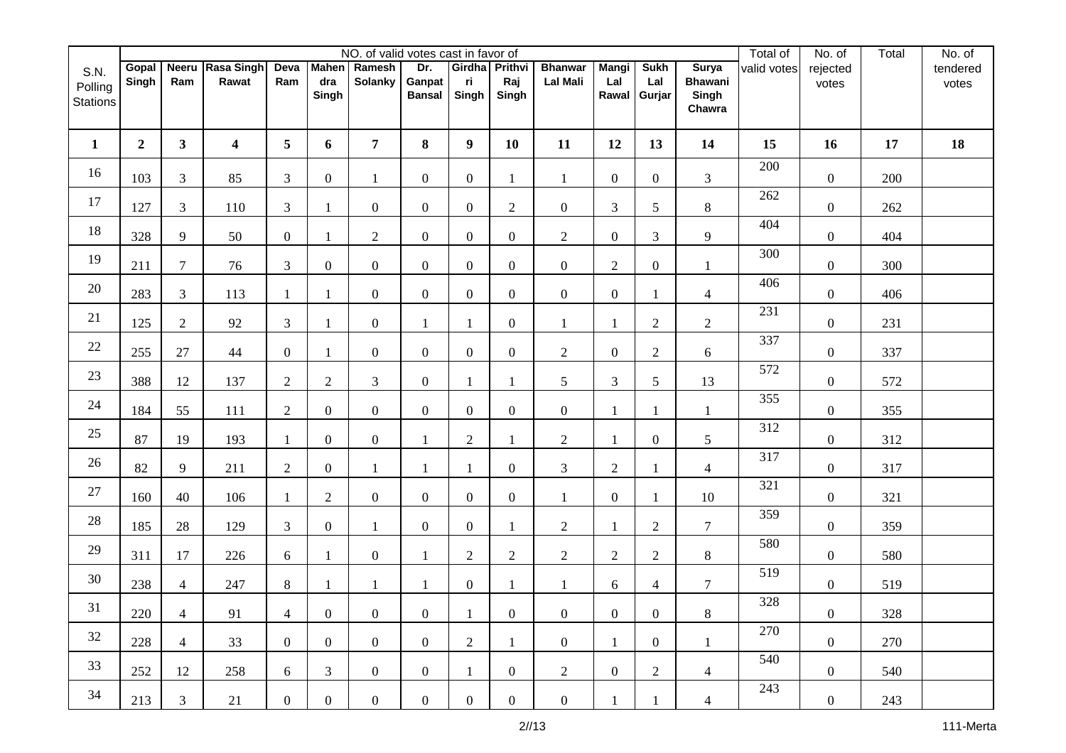|                                    |                |                |                           |                |                | NO. of valid votes cast in favor of |                                |                               |                  |                                   |                              |                              |                                                   | Total of    | No. of            | Total | No. of            |
|------------------------------------|----------------|----------------|---------------------------|----------------|----------------|-------------------------------------|--------------------------------|-------------------------------|------------------|-----------------------------------|------------------------------|------------------------------|---------------------------------------------------|-------------|-------------------|-------|-------------------|
| S.N.<br>Polling<br><b>Stations</b> | Gopal<br>Singh | Ram            | Neeru Rasa Singh<br>Rawat | Deva<br>Ram    | dra<br>Singh   | Mahen Ramesh<br><b>Solanky</b>      | Dr.<br>Ganpat<br><b>Bansal</b> | Girdha Prithvi<br>ri<br>Singh | Raj<br>Singh     | <b>Bhanwar</b><br><b>Lal Mali</b> | <b>Mangi</b><br>Lal<br>Rawal | <b>Sukh</b><br>Lal<br>Gurjar | <b>Surya</b><br><b>Bhawani</b><br>Singh<br>Chawra | valid votes | rejected<br>votes |       | tendered<br>votes |
| $\mathbf{1}$                       | $\overline{2}$ | $\mathbf{3}$   | 4                         | 5              | 6              | $\overline{7}$                      | 8                              | $\boldsymbol{9}$              | 10               | 11                                | 12                           | 13                           | 14                                                | 15          | 16                | 17    | 18                |
| 16                                 | 103            | 3              | 85                        | 3              | $\overline{0}$ | 1                                   | $\overline{0}$                 | $\boldsymbol{0}$              | 1                | $\mathbf{1}$                      | $\boldsymbol{0}$             | $\overline{0}$               | 3                                                 | 200         | $\boldsymbol{0}$  | 200   |                   |
| 17                                 | 127            | 3              | 110                       | 3              | 1              | $\overline{0}$                      | $\overline{0}$                 | $\boldsymbol{0}$              | $\overline{2}$   | $\overline{0}$                    | 3                            | 5                            | $\bf 8$                                           | 262         | $\boldsymbol{0}$  | 262   |                   |
| $18\,$                             | 328            | 9              | 50                        | $\overline{0}$ | 1              | $\overline{2}$                      | $\overline{0}$                 | $\boldsymbol{0}$              | $\boldsymbol{0}$ | $\overline{c}$                    | $\boldsymbol{0}$             | 3                            | 9                                                 | 404         | $\boldsymbol{0}$  | 404   |                   |
| 19                                 | 211            | $\overline{7}$ | 76                        | 3              | $\overline{0}$ | $\overline{0}$                      | $\overline{0}$                 | $\boldsymbol{0}$              | $\overline{0}$   | $\boldsymbol{0}$                  | $\sqrt{2}$                   | $\boldsymbol{0}$             | $\mathbf{1}$                                      | 300         | $\boldsymbol{0}$  | 300   |                   |
| $20\,$                             | 283            | 3              | 113                       | $\overline{1}$ | $\mathbf{1}$   | $\overline{0}$                      | $\overline{0}$                 | $\overline{0}$                | $\overline{0}$   | $\overline{0}$                    | $\boldsymbol{0}$             |                              | $\overline{4}$                                    | 406         | $\boldsymbol{0}$  | 406   |                   |
| 21                                 | 125            | $\overline{2}$ | 92                        | 3              | 1              | $\overline{0}$                      | 1                              | $\mathbf{1}$                  | $\overline{0}$   | 1                                 | $\mathbf{1}$                 | $\overline{2}$               | $\overline{c}$                                    | 231         | $\boldsymbol{0}$  | 231   |                   |
| 22                                 | 255            | 27             | 44                        | $\overline{0}$ | 1              | $\overline{0}$                      | $\overline{0}$                 | $\boldsymbol{0}$              | $\overline{0}$   | $\overline{2}$                    | $\boldsymbol{0}$             | $\overline{2}$               | $6\,$                                             | 337         | $\boldsymbol{0}$  | 337   |                   |
| 23                                 | 388            | 12             | 137                       | $\mathfrak{2}$ | $\overline{2}$ | 3                                   | $\overline{0}$                 | 1                             |                  | 5                                 | $\mathfrak{Z}$               | 5                            | 13                                                | 572         | $\boldsymbol{0}$  | 572   |                   |
| 24                                 | 184            | 55             | 111                       | $\overline{2}$ | $\overline{0}$ | $\overline{0}$                      | $\overline{0}$                 | $\boldsymbol{0}$              | $\boldsymbol{0}$ | $\boldsymbol{0}$                  | $\mathbf{1}$                 | $\mathbf{1}$                 | $\mathbf{1}$                                      | 355         | $\boldsymbol{0}$  | 355   |                   |
| $25\,$                             | 87             | 19             | 193                       | -1             | $\overline{0}$ | $\overline{0}$                      |                                | $\sqrt{2}$                    |                  | $\overline{c}$                    | 1                            | $\boldsymbol{0}$             | 5                                                 | 312         | $\boldsymbol{0}$  | 312   |                   |
| 26                                 | 82             | 9              | 211                       | 2              | $\overline{0}$ | $\mathbf{1}$                        | $\mathbf{1}$                   | $\mathbf{1}$                  | $\overline{0}$   | 3                                 | $\overline{2}$               |                              | $\overline{4}$                                    | 317         | $\boldsymbol{0}$  | 317   |                   |
| $27\,$                             | 160            | 40             | 106                       | -1             | $\overline{2}$ | $\overline{0}$                      | $\overline{0}$                 | $\boldsymbol{0}$              | $\overline{0}$   | $\mathbf{1}$                      | $\boldsymbol{0}$             | 1                            | 10                                                | 321         | $\boldsymbol{0}$  | 321   |                   |
| 28                                 | 185            | 28             | 129                       | 3              | $\overline{0}$ | $\mathbf{1}$                        | $\overline{0}$                 | $\boldsymbol{0}$              | 1                | $\overline{c}$                    | 1                            | $\overline{2}$               | $\tau$                                            | 359         | $\boldsymbol{0}$  | 359   |                   |
| 29                                 | 311            | 17             | 226                       | 6              | 1              | $\boldsymbol{0}$                    | $\mathbf{1}$                   | $\mathfrak{2}$                | $\overline{2}$   | $\overline{c}$                    | $\sqrt{2}$                   | $\mathfrak{2}$               | $\,8\,$                                           | 580         | $\boldsymbol{0}$  | 580   |                   |
| $30\,$                             | 238            | $\overline{4}$ | 247                       | 8              | 1              | $\mathbf{1}$                        | 1                              | $\boldsymbol{0}$              | 1                | $\mathbf{1}$                      | 6                            | $\overline{4}$               | $\tau$                                            | 519         | $\boldsymbol{0}$  | 519   |                   |
| 31                                 | 220            | $\overline{4}$ | 91                        | $\overline{4}$ | $\overline{0}$ | $\overline{0}$                      | $\overline{0}$                 | $\mathbf{1}$                  | $\overline{0}$   | $\boldsymbol{0}$                  | $\boldsymbol{0}$             | $\boldsymbol{0}$             | $8\,$                                             | 328         | $\overline{0}$    | 328   |                   |
| 32                                 | 228            | $\overline{4}$ | 33                        | $\overline{0}$ | $\overline{0}$ | $\overline{0}$                      | $\overline{0}$                 | $\overline{2}$                | $\mathbf{1}$     | $\overline{0}$                    | $\mathbf{1}$                 | $\overline{0}$               | 1                                                 | 270         | $\overline{0}$    | 270   |                   |
| 33                                 | 252            | 12             | 258                       | 6              | $\mathfrak{Z}$ | $\overline{0}$                      | $\overline{0}$                 | $\mathbf{1}$                  | $\overline{0}$   | $\overline{2}$                    | $\overline{0}$               | $\overline{2}$               | $\overline{4}$                                    | 540         | $\overline{0}$    | 540   |                   |
| 34                                 | 213            | 3              | 21                        | $\overline{0}$ | $\overline{0}$ | $\overline{0}$                      | $\overline{0}$                 | $\boldsymbol{0}$              | $\overline{0}$   | $\overline{0}$                    |                              |                              | $\overline{4}$                                    | 243         | $\overline{0}$    | 243   |                   |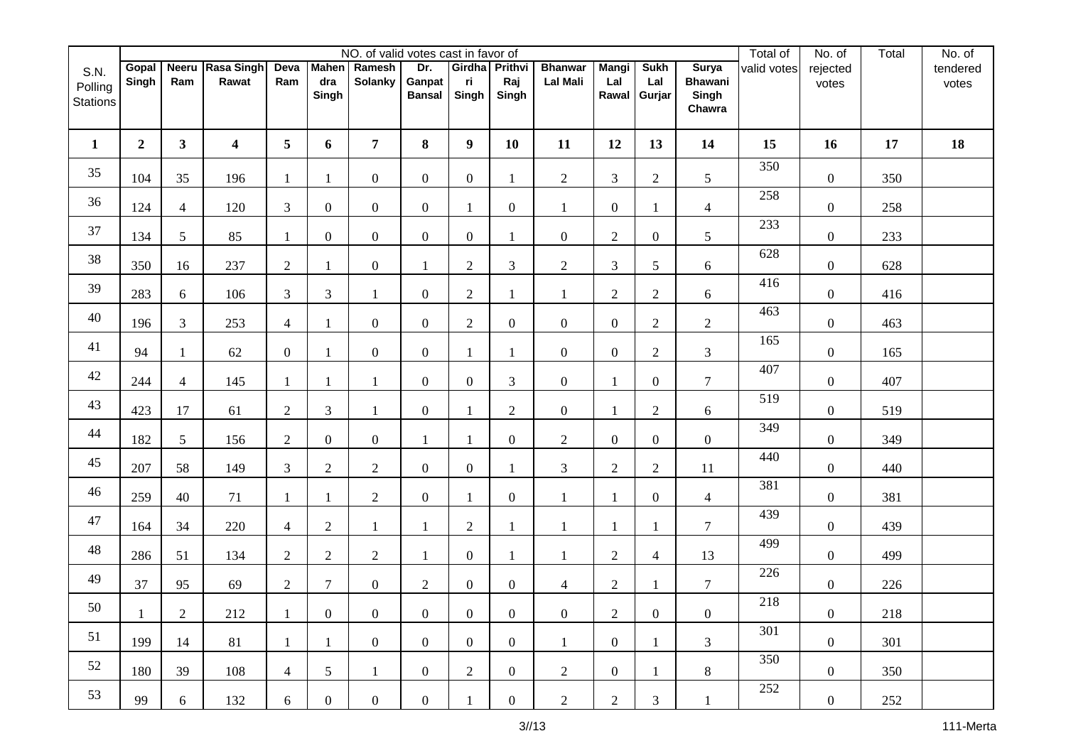|                                    |                |                |                           |                |                | NO. of valid votes cast in favor of |                                |                               |                  |                                   |                              |                              |                                                   | Total of    | No. of            | Total | No. of            |
|------------------------------------|----------------|----------------|---------------------------|----------------|----------------|-------------------------------------|--------------------------------|-------------------------------|------------------|-----------------------------------|------------------------------|------------------------------|---------------------------------------------------|-------------|-------------------|-------|-------------------|
| S.N.<br>Polling<br><b>Stations</b> | Gopal<br>Singh | Ram            | Neeru Rasa Singh<br>Rawat | Deva<br>Ram    | dra<br>Singh   | Mahen Ramesh<br><b>Solanky</b>      | Dr.<br>Ganpat<br><b>Bansal</b> | Girdha Prithvi<br>ri<br>Singh | Raj<br>Singh     | <b>Bhanwar</b><br><b>Lal Mali</b> | <b>Mangi</b><br>Lal<br>Rawal | <b>Sukh</b><br>Lal<br>Gurjar | <b>Surya</b><br><b>Bhawani</b><br>Singh<br>Chawra | valid votes | rejected<br>votes |       | tendered<br>votes |
| $\mathbf{1}$                       | $\overline{2}$ | $\mathbf{3}$   | $\overline{\mathbf{4}}$   | 5              | 6              | $\overline{7}$                      | 8                              | $\boldsymbol{9}$              | 10               | 11                                | 12                           | 13                           | 14                                                | 15          | 16                | 17    | 18                |
| 35                                 | 104            | 35             | 196                       | -1             | 1              | $\overline{0}$                      | $\overline{0}$                 | $\boldsymbol{0}$              | 1                | $\overline{c}$                    | $\mathfrak{Z}$               | $\overline{2}$               | 5                                                 | 350         | $\boldsymbol{0}$  | 350   |                   |
| 36                                 | 124            | $\overline{4}$ | 120                       | 3              | $\overline{0}$ | $\overline{0}$                      | $\overline{0}$                 | $\mathbf{1}$                  | $\overline{0}$   | 1                                 | $\boldsymbol{0}$             | 1                            | $\overline{4}$                                    | 258         | $\boldsymbol{0}$  | 258   |                   |
| 37                                 | 134            | 5              | 85                        | $\blacksquare$ | $\overline{0}$ | $\overline{0}$                      | $\overline{0}$                 | $\boldsymbol{0}$              |                  | $\boldsymbol{0}$                  | $\sqrt{2}$                   | $\boldsymbol{0}$             | 5                                                 | 233         | $\boldsymbol{0}$  | 233   |                   |
| 38                                 | 350            | 16             | 237                       | $\sqrt{2}$     |                | $\overline{0}$                      | 1                              | $\sqrt{2}$                    | 3                | $\overline{c}$                    | $\mathfrak{Z}$               | 5                            | $6\,$                                             | 628         | $\boldsymbol{0}$  | 628   |                   |
| 39                                 | 283            | 6              | 106                       | $\overline{3}$ | 3              |                                     | $\overline{0}$                 | $\sqrt{2}$                    |                  | 1                                 | $\sqrt{2}$                   | $\mathbf{2}$                 | $\boldsymbol{6}$                                  | 416         | $\boldsymbol{0}$  | 416   |                   |
| 40                                 | 196            | 3              | 253                       | $\overline{4}$ | $\mathbf{1}$   | $\overline{0}$                      | $\overline{0}$                 | $\sqrt{2}$                    | $\overline{0}$   | $\overline{0}$                    | $\overline{0}$               | $\mathbf{2}$                 | $\overline{2}$                                    | 463         | $\boldsymbol{0}$  | 463   |                   |
| 41                                 | 94             |                | 62                        | $\overline{0}$ | 1              | $\overline{0}$                      | $\overline{0}$                 | $\mathbf{1}$                  |                  | $\overline{0}$                    | $\boldsymbol{0}$             | $\mathbf{2}$                 | 3                                                 | 165         | $\boldsymbol{0}$  | 165   |                   |
| 42                                 | 244            | $\overline{4}$ | 145                       | $\mathbf{1}$   | 1              |                                     | $\boldsymbol{0}$               | $\boldsymbol{0}$              | 3                | $\overline{0}$                    | $\mathbf{1}$                 | $\mathbf{0}$                 | $\overline{7}$                                    | 407         | $\boldsymbol{0}$  | 407   |                   |
| 43                                 | 423            | 17             | 61                        | $\overline{2}$ | 3              | 1                                   | $\overline{0}$                 | $\mathbf{1}$                  | $\overline{c}$   | $\boldsymbol{0}$                  | $\mathbf{1}$                 | $\mathfrak{2}$               | 6                                                 | 519         | $\boldsymbol{0}$  | 519   |                   |
| 44                                 | 182            | 5              | 156                       | $\overline{2}$ | $\overline{0}$ | $\overline{0}$                      | $\mathbf{1}$                   | $\mathbf{1}$                  | $\overline{0}$   | $\overline{c}$                    | $\boldsymbol{0}$             | $\boldsymbol{0}$             | $\boldsymbol{0}$                                  | 349         | $\boldsymbol{0}$  | 349   |                   |
| 45                                 | 207            | 58             | 149                       | $\overline{3}$ | $\overline{2}$ | $\overline{2}$                      | $\overline{0}$                 | $\boldsymbol{0}$              |                  | 3                                 | $\sqrt{2}$                   | $\mathbf{2}$                 | 11                                                | 440         | $\boldsymbol{0}$  | 440   |                   |
| 46                                 | 259            | 40             | 71                        | $\mathbf{1}$   | $\mathbf{1}$   | $\overline{2}$                      | $\overline{0}$                 | $\mathbf{1}$                  | $\mathbf{0}$     | $\mathbf{1}$                      | $\mathbf{1}$                 | $\boldsymbol{0}$             | $\overline{4}$                                    | 381         | $\boldsymbol{0}$  | 381   |                   |
| 47                                 | 164            | 34             | 220                       | 4              | $\overline{c}$ |                                     | 1                              | $\mathfrak{2}$                |                  | 1                                 | 1                            | 1                            | $\tau$                                            | 439         | $\boldsymbol{0}$  | 439   |                   |
| 48                                 | 286            | 51             | 134                       | $\overline{2}$ | $\overline{c}$ | $\overline{2}$                      | $\mathbf{1}$                   | $\boldsymbol{0}$              |                  | 1                                 | $\sqrt{2}$                   | 4                            | 13                                                | 499         | $\boldsymbol{0}$  | 499   |                   |
| 49                                 | 37             | 95             | 69                        | $\mathfrak{2}$ | $\tau$         | $\boldsymbol{0}$                    | $\overline{2}$                 | $\boldsymbol{0}$              | $\boldsymbol{0}$ | $\overline{\mathcal{A}}$          | $\sqrt{2}$                   | 1                            | $\tau$                                            | 226         | $\boldsymbol{0}$  | 226   |                   |
| 50                                 | $\mathbf{1}$   | $\overline{2}$ | 212                       | $\mathbf{1}$   | $\mathbf{0}$   | $\overline{0}$                      | $\overline{0}$                 | $\overline{0}$                | $\overline{0}$   | $\overline{0}$                    | $\sqrt{2}$                   | $\boldsymbol{0}$             | $\mathbf{0}$                                      | 218         | $\overline{0}$    | 218   |                   |
| 51                                 | 199            | 14             | 81                        | $\mathbf{1}$   | $\mathbf{1}$   | $\overline{0}$                      | $\overline{0}$                 | $\overline{0}$                | $\overline{0}$   | $\mathbf{1}$                      | $\overline{0}$               | $\mathbf{1}$                 | $\mathfrak{Z}$                                    | 301         | $\overline{0}$    | 301   |                   |
| 52                                 | 180            | 39             | 108                       | $\overline{4}$ | 5 <sup>1</sup> | $\mathbf{1}$                        | $\overline{0}$                 | $\overline{2}$                | $\overline{0}$   | $\overline{2}$                    | $\overline{0}$               | 1                            | 8                                                 | 350         | $\overline{0}$    | 350   |                   |
| 53                                 | 99             | 6              | 132                       | 6              | $\overline{0}$ | $\overline{0}$                      | $\overline{0}$                 | $\mathbf{1}$                  | $\overline{0}$   | $\overline{2}$                    | $\overline{2}$               | 3                            | 1                                                 | 252         | $\overline{0}$    | 252   |                   |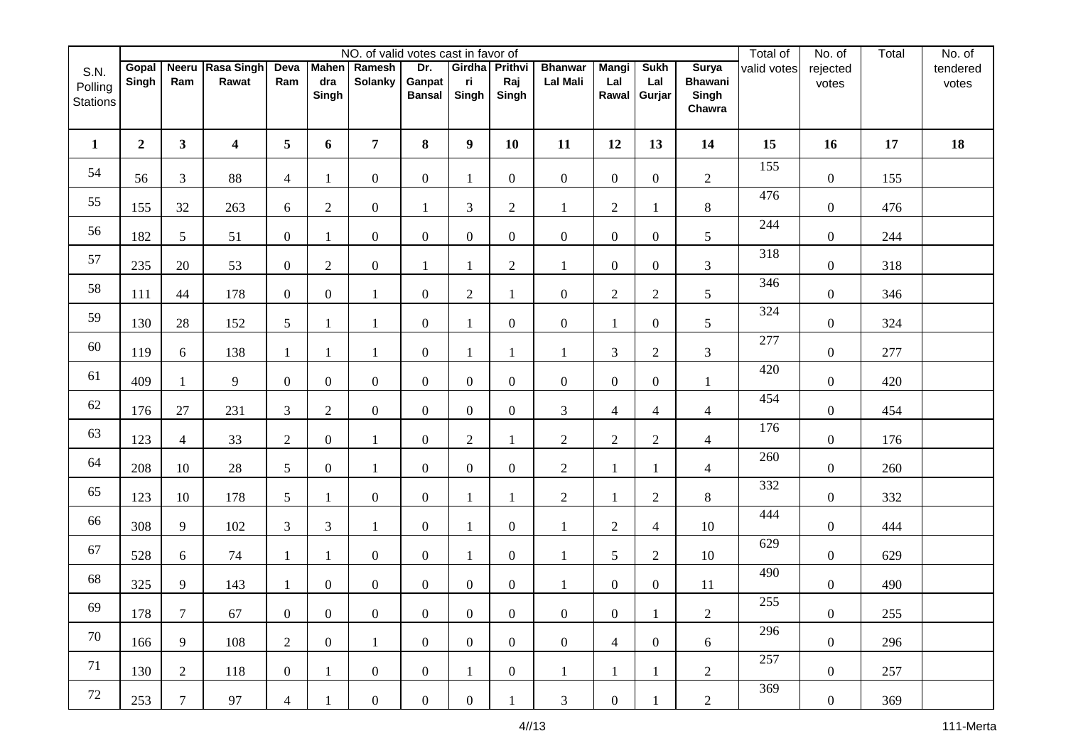|                                    |                |                  |                           |                |                  | NO. of valid votes cast in favor of |                                |                               |                  |                                   |                              |                              |                                                   | Total of    | No. of            | Total | No. of            |
|------------------------------------|----------------|------------------|---------------------------|----------------|------------------|-------------------------------------|--------------------------------|-------------------------------|------------------|-----------------------------------|------------------------------|------------------------------|---------------------------------------------------|-------------|-------------------|-------|-------------------|
| S.N.<br>Polling<br><b>Stations</b> | Gopal<br>Singh | Ram              | Neeru Rasa Singh<br>Rawat | Deva<br>Ram    | dra<br>Singh     | Mahen Ramesh<br><b>Solanky</b>      | Dr.<br>Ganpat<br><b>Bansal</b> | Girdha Prithvi<br>ri<br>Singh | Raj<br>Singh     | <b>Bhanwar</b><br><b>Lal Mali</b> | <b>Mangi</b><br>Lal<br>Rawal | <b>Sukh</b><br>Lal<br>Gurjar | <b>Surya</b><br><b>Bhawani</b><br>Singh<br>Chawra | valid votes | rejected<br>votes |       | tendered<br>votes |
| $\mathbf{1}$                       | $\overline{2}$ | $\mathbf{3}$     | $\overline{\mathbf{4}}$   | 5              | 6                | $\overline{7}$                      | 8                              | $\boldsymbol{9}$              | 10               | 11                                | 12                           | 13                           | 14                                                | 15          | 16                | 17    | 18                |
| 54                                 | 56             | 3                | 88                        | $\overline{4}$ | 1                | $\overline{0}$                      | $\overline{0}$                 | $\mathbf{1}$                  | $\overline{0}$   | $\boldsymbol{0}$                  | $\mathbf{0}$                 | $\mathbf{0}$                 | $\sqrt{2}$                                        | 155         | $\boldsymbol{0}$  | 155   |                   |
| 55                                 | 155            | 32               | 263                       | 6              | $\overline{2}$   | $\overline{0}$                      | 1                              | $\mathfrak{Z}$                | $\overline{2}$   | 1                                 | $\sqrt{2}$                   | 1                            | $\,8\,$                                           | 476         | $\boldsymbol{0}$  | 476   |                   |
| 56                                 | 182            | 5                | 51                        | $\overline{0}$ | 1                | $\overline{0}$                      | $\overline{0}$                 | $\boldsymbol{0}$              | $\overline{0}$   | $\boldsymbol{0}$                  | $\boldsymbol{0}$             | $\boldsymbol{0}$             | 5                                                 | 244         | $\boldsymbol{0}$  | 244   |                   |
| 57                                 | 235            | 20               | 53                        | $\overline{0}$ | $\overline{2}$   | $\overline{0}$                      | 1                              | 1                             | $\overline{2}$   | 1                                 | $\boldsymbol{0}$             | $\boldsymbol{0}$             | $\mathfrak{Z}$                                    | 318         | $\boldsymbol{0}$  | 318   |                   |
| 58                                 | 111            | 44               | 178                       | $\overline{0}$ | $\overline{0}$   |                                     | $\overline{0}$                 | $\sqrt{2}$                    |                  | $\boldsymbol{0}$                  | $\sqrt{2}$                   | $\overline{2}$               | 5                                                 | 346         | $\boldsymbol{0}$  | 346   |                   |
| 59                                 | 130            | 28               | 152                       | 5              | $\mathbf{1}$     | $\mathbf{1}$                        | $\overline{0}$                 | $\mathbf{1}$                  | $\overline{0}$   | $\boldsymbol{0}$                  | $\mathbf{1}$                 | $\boldsymbol{0}$             | 5                                                 | 324         | $\boldsymbol{0}$  | 324   |                   |
| 60                                 | 119            | 6                | 138                       | 1              | 1                |                                     | $\overline{0}$                 | 1                             |                  | 1                                 | $\mathfrak{Z}$               | $\overline{2}$               | 3                                                 | 277         | $\boldsymbol{0}$  | 277   |                   |
| 61                                 | 409            |                  | 9                         | $\overline{0}$ | $\overline{0}$   | $\overline{0}$                      | $\overline{0}$                 | $\boldsymbol{0}$              | $\overline{0}$   | $\boldsymbol{0}$                  | $\boldsymbol{0}$             | $\boldsymbol{0}$             | 1                                                 | 420         | $\boldsymbol{0}$  | 420   |                   |
| 62                                 | 176            | 27               | 231                       | 3              | $\overline{c}$   | $\overline{0}$                      | $\overline{0}$                 | $\boldsymbol{0}$              | $\mathbf{0}$     | 3                                 | $\overline{4}$               | $\overline{4}$               | $\overline{4}$                                    | 454         | $\boldsymbol{0}$  | 454   |                   |
| 63                                 | 123            | $\overline{4}$   | 33                        | $\overline{2}$ | $\overline{0}$   |                                     | $\overline{0}$                 | $\mathfrak{2}$                |                  | $\overline{c}$                    | $\sqrt{2}$                   | $\mathfrak{2}$               | $\overline{4}$                                    | 176         | $\boldsymbol{0}$  | 176   |                   |
| 64                                 | 208            | 10               | 28                        | 5              | $\overline{0}$   |                                     | $\overline{0}$                 | $\overline{0}$                | $\overline{0}$   | $\overline{c}$                    | $\mathbf{1}$                 | 1                            | $\overline{4}$                                    | 260         | $\boldsymbol{0}$  | 260   |                   |
| 65                                 | 123            | 10               | 178                       | 5              | $\mathbf{1}$     | $\overline{0}$                      | $\overline{0}$                 | $\mathbf{1}$                  | 1                | $\overline{2}$                    | $\mathbf{1}$                 | $\overline{2}$               | $8\,$                                             | 332         | $\boldsymbol{0}$  | 332   |                   |
| 66                                 | 308            | 9                | 102                       | 3              | 3                |                                     | $\overline{0}$                 | 1                             | $\mathbf{0}$     | 1                                 | $\mathfrak{2}$               | $\overline{4}$               | 10                                                | 444         | $\boldsymbol{0}$  | 444   |                   |
| 67                                 | 528            | 6                | 74                        | -1             | 1                | $\overline{0}$                      | $\overline{0}$                 | $\mathbf{1}$                  | $\overline{0}$   | 1                                 | 5                            | $\mathbf{2}$                 | 10                                                | 629         | $\boldsymbol{0}$  | 629   |                   |
| 68                                 | 325            | 9                | 143                       | $\mathbf{1}$   | $\boldsymbol{0}$ | $\boldsymbol{0}$                    | $\overline{0}$                 | $\boldsymbol{0}$              | $\boldsymbol{0}$ | $\mathbf{1}$                      | $\boldsymbol{0}$             | $\boldsymbol{0}$             | 11                                                | 490         | $\boldsymbol{0}$  | 490   |                   |
| 69                                 | 178            | $\boldsymbol{7}$ | 67                        | $\overline{0}$ | $\mathbf{0}$     | $\overline{0}$                      | $\overline{0}$                 | $\overline{0}$                | $\overline{0}$   | $\overline{0}$                    | $0\,$                        | $\mathbf{1}$                 | $\overline{2}$                                    | 255         | $\overline{0}$    | 255   |                   |
| 70                                 | 166            | 9                | 108                       | $\overline{2}$ | $\overline{0}$   | $\mathbf{1}$                        | $\overline{0}$                 | $\overline{0}$                | $\overline{0}$   | $\overline{0}$                    | $\overline{4}$               | $\overline{0}$               | 6                                                 | 296         | $\overline{0}$    | 296   |                   |
| 71                                 | 130            | $\overline{2}$   | 118                       | $\overline{0}$ | $\mathbf{1}$     | $\overline{0}$                      | $\overline{0}$                 | $\mathbf{1}$                  | $\overline{0}$   | $\mathbf{1}$                      | $\mathbf{1}$                 | 1                            | $\overline{2}$                                    | 257         | $\overline{0}$    | 257   |                   |
| 72                                 | 253            | $\tau$           | 97                        | $\overline{4}$ | 1                | $\overline{0}$                      | $\overline{0}$                 | $\overline{0}$                |                  | 3                                 | $\boldsymbol{0}$             |                              | $\overline{2}$                                    | 369         | $\overline{0}$    | 369   |                   |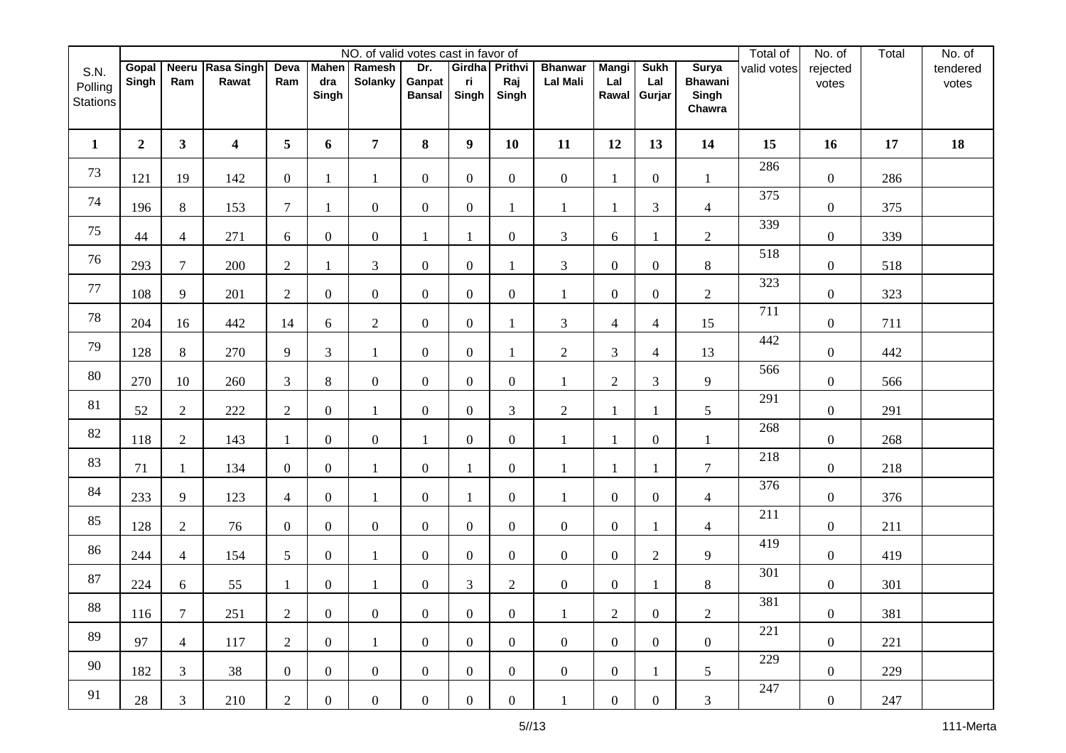|                                    |                |                  |                           |                 |                | NO. of valid votes cast in favor of |                                |                               |                |                                   |                              |                              |                                                   | Total of    | No. of            | Total | No. of            |
|------------------------------------|----------------|------------------|---------------------------|-----------------|----------------|-------------------------------------|--------------------------------|-------------------------------|----------------|-----------------------------------|------------------------------|------------------------------|---------------------------------------------------|-------------|-------------------|-------|-------------------|
| S.N.<br>Polling<br><b>Stations</b> | Gopal<br>Singh | Ram              | Neeru Rasa Singh<br>Rawat | Deva<br>Ram     | dra<br>Singh   | Mahen Ramesh<br><b>Solanky</b>      | Dr.<br>Ganpat<br><b>Bansal</b> | Girdha Prithvi<br>ri<br>Singh | Raj<br>Singh   | <b>Bhanwar</b><br><b>Lal Mali</b> | <b>Mangi</b><br>Lal<br>Rawal | <b>Sukh</b><br>Lal<br>Gurjar | <b>Surya</b><br><b>Bhawani</b><br>Singh<br>Chawra | valid votes | rejected<br>votes |       | tendered<br>votes |
| $\mathbf{1}$                       | $\overline{2}$ | $\mathbf{3}$     | 4                         | 5               | 6              | $\overline{7}$                      | 8                              | $\boldsymbol{9}$              | 10             | 11                                | 12                           | 13                           | 14                                                | 15          | 16                | 17    | 18                |
| 73                                 | 121            | 19               | 142                       | $\overline{0}$  | 1              | 1                                   | $\overline{0}$                 | $\boldsymbol{0}$              | $\overline{0}$ | $\overline{0}$                    | $\mathbf{1}$                 | $\boldsymbol{0}$             | 1                                                 | 286         | $\boldsymbol{0}$  | 286   |                   |
| 74                                 | 196            | 8                | 153                       | $7\phantom{.0}$ | 1              | $\overline{0}$                      | $\overline{0}$                 | $\boldsymbol{0}$              |                | 1                                 |                              | 3                            | $\overline{4}$                                    | 375         | $\boldsymbol{0}$  | 375   |                   |
| 75                                 | 44             | $\overline{4}$   | 271                       | 6               | $\overline{0}$ | $\overline{0}$                      | 1                              | $\mathbf{1}$                  | $\mathbf{0}$   | 3                                 | 6                            |                              | $\boldsymbol{2}$                                  | 339         | $\boldsymbol{0}$  | 339   |                   |
| 76                                 | 293            | $\tau$           | 200                       | $\overline{2}$  |                | 3                                   | $\overline{0}$                 | $\boldsymbol{0}$              |                | 3                                 | $\boldsymbol{0}$             | $\boldsymbol{0}$             | $\,8\,$                                           | 518         | $\boldsymbol{0}$  | 518   |                   |
| $77\,$                             | 108            | 9                | 201                       | 2               | $\overline{0}$ | $\overline{0}$                      | $\overline{0}$                 | $\overline{0}$                | $\overline{0}$ | $\mathbf{1}$                      | $\boldsymbol{0}$             | $\boldsymbol{0}$             | $\sqrt{2}$                                        | 323         | $\boldsymbol{0}$  | 323   |                   |
| $78\,$                             | 204            | 16               | 442                       | 14              | 6              | $\overline{2}$                      | $\overline{0}$                 | $\boldsymbol{0}$              | 1              | 3                                 | $\overline{4}$               | $\overline{4}$               | 15                                                | 711         | $\boldsymbol{0}$  | 711   |                   |
| 79                                 | 128            | 8                | 270                       | 9               | 3              | $\mathbf{1}$                        | $\overline{0}$                 | $\boldsymbol{0}$              |                | $\overline{2}$                    | 3                            | $\overline{4}$               | 13                                                | 442         | $\boldsymbol{0}$  | 442   |                   |
| $80\,$                             | 270            | 10               | 260                       | 3               | $\,8\,$        | $\overline{0}$                      | $\overline{0}$                 | $\boldsymbol{0}$              | $\overline{0}$ | $\mathbf{1}$                      | $\sqrt{2}$                   | 3                            | 9                                                 | 566         | $\boldsymbol{0}$  | 566   |                   |
| 81                                 | 52             | $\overline{2}$   | 222                       | $\overline{2}$  | $\overline{0}$ | $\mathbf{1}$                        | $\boldsymbol{0}$               | $\boldsymbol{0}$              | 3              | $\mathbf{2}$                      | 1                            | -1                           | $\sqrt{5}$                                        | 291         | $\boldsymbol{0}$  | 291   |                   |
| 82                                 | 118            | $\overline{2}$   | 143                       | -1              | $\overline{0}$ | $\overline{0}$                      | 1                              | $\boldsymbol{0}$              | $\overline{0}$ | $\mathbf{1}$                      |                              | $\boldsymbol{0}$             | 1                                                 | 268         | $\boldsymbol{0}$  | 268   |                   |
| 83                                 | 71             | 1                | 134                       | $\overline{0}$  | $\overline{0}$ | $\mathbf{1}$                        | $\overline{0}$                 | $\mathbf{1}$                  | $\overline{0}$ | $\mathbf{1}$                      | 1                            |                              | $\tau$                                            | 218         | $\boldsymbol{0}$  | 218   |                   |
| 84                                 | 233            | 9                | 123                       | $\overline{4}$  | $\overline{0}$ | $\mathbf{1}$                        | $\overline{0}$                 | $\mathbf{1}$                  | $\overline{0}$ | $\mathbf{1}$                      | $\boldsymbol{0}$             | $\overline{0}$               | $\overline{4}$                                    | 376         | $\boldsymbol{0}$  | 376   |                   |
| 85                                 | 128            | $\overline{2}$   | 76                        | $\overline{0}$  | $\overline{0}$ | $\overline{0}$                      | $\overline{0}$                 | $\boldsymbol{0}$              | $\overline{0}$ | $\overline{0}$                    | $\boldsymbol{0}$             |                              | $\overline{4}$                                    | 211         | $\boldsymbol{0}$  | 211   |                   |
| 86                                 | 244            | $\overline{4}$   | 154                       | 5               | $\overline{0}$ | $\mathbf{1}$                        | $\overline{0}$                 | $\boldsymbol{0}$              | $\overline{0}$ | $\overline{0}$                    | $\boldsymbol{0}$             | $\overline{2}$               | 9                                                 | 419         | $\boldsymbol{0}$  | 419   |                   |
| $87\,$                             | 224            | 6                | 55                        | $\mathbf{1}$    | $\overline{0}$ | $\mathbf{1}$                        | $\boldsymbol{0}$               | $\mathfrak{Z}$                | $\overline{2}$ | $\boldsymbol{0}$                  | $\boldsymbol{0}$             |                              | $\,8\,$                                           | 301         | $\boldsymbol{0}$  | 301   |                   |
| 88                                 | 116            | $\boldsymbol{7}$ | 251                       | $\overline{2}$  | $\overline{0}$ | $\overline{0}$                      | $\overline{0}$                 | $\overline{0}$                | $\overline{0}$ | $\mathbf{1}$                      | $\overline{2}$               | $\boldsymbol{0}$             | $\overline{c}$                                    | 381         | $\overline{0}$    | 381   |                   |
| 89                                 | 97             | $\overline{4}$   | 117                       | 2               | $\overline{0}$ | $\mathbf{1}$                        | $\overline{0}$                 | $\overline{0}$                | $\overline{0}$ | $\overline{0}$                    | $\overline{0}$               | $\overline{0}$               | $\overline{0}$                                    | 221         | $\overline{0}$    | 221   |                   |
| 90                                 | 182            | 3                | 38                        | $\overline{0}$  | $\overline{0}$ | $\overline{0}$                      | $\overline{0}$                 | $\overline{0}$                | $\overline{0}$ | $\overline{0}$                    | $\overline{0}$               | 1                            | 5 <sup>5</sup>                                    | 229         | $\overline{0}$    | 229   |                   |
| 91                                 | 28             | 3                | 210                       | $\overline{2}$  | $\overline{0}$ | $\overline{0}$                      | $\overline{0}$                 | $\boldsymbol{0}$              | $\overline{0}$ | $\mathbf{1}$                      | $\overline{0}$               | $\overline{0}$               | 3                                                 | 247         | $\overline{0}$    | 247   |                   |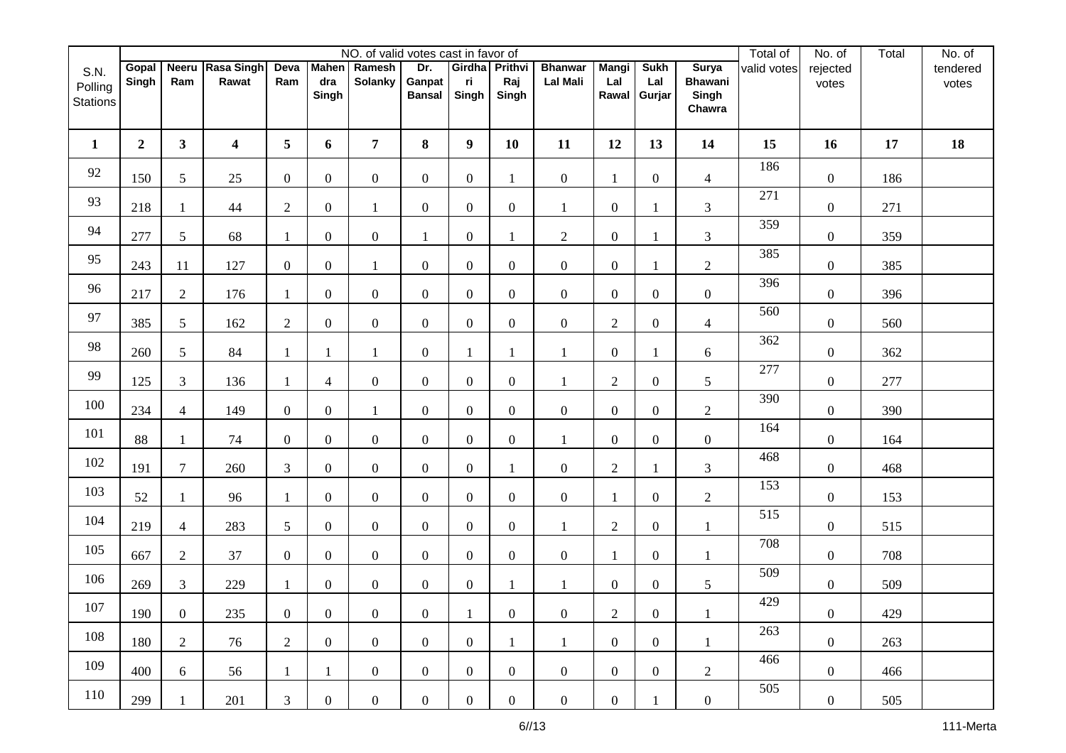|                                    |                |                |                           |                |                              | NO. of valid votes cast in favor of |                                |                               |                  |                                   |                              |                              |                                                   | Total of    | No. of            | Total | No. of            |
|------------------------------------|----------------|----------------|---------------------------|----------------|------------------------------|-------------------------------------|--------------------------------|-------------------------------|------------------|-----------------------------------|------------------------------|------------------------------|---------------------------------------------------|-------------|-------------------|-------|-------------------|
| S.N.<br>Polling<br><b>Stations</b> | Gopal<br>Singh | Ram            | Neeru Rasa Singh<br>Rawat | Deva<br>Ram    | <b>Mahen</b><br>dra<br>Singh | Ramesh<br><b>Solanky</b>            | Dr.<br>Ganpat<br><b>Bansal</b> | Girdha Prithvi<br>ri<br>Singh | Raj<br>Singh     | <b>Bhanwar</b><br><b>Lal Mali</b> | <b>Mangi</b><br>Lal<br>Rawal | <b>Sukh</b><br>Lal<br>Gurjar | <b>Surya</b><br><b>Bhawani</b><br>Singh<br>Chawra | valid votes | rejected<br>votes |       | tendered<br>votes |
| $\mathbf{1}$                       | $\overline{2}$ | $\mathbf{3}$   | 4                         | 5              | 6                            | $\overline{7}$                      | 8                              | $\boldsymbol{9}$              | 10               | 11                                | 12                           | 13                           | 14                                                | 15          | 16                | 17    | 18                |
| 92                                 | 150            | 5              | 25                        | $\overline{0}$ | $\overline{0}$               | $\overline{0}$                      | $\overline{0}$                 | $\boldsymbol{0}$              | 1                | $\overline{0}$                    | $\mathbf{1}$                 | $\boldsymbol{0}$             | $\overline{4}$                                    | 186         | $\boldsymbol{0}$  | 186   |                   |
| 93                                 | 218            | 1              | 44                        | $\mathfrak{2}$ | $\overline{0}$               | 1                                   | $\overline{0}$                 | $\boldsymbol{0}$              | $\overline{0}$   | 1                                 | $\boldsymbol{0}$             |                              | 3                                                 | 271         | $\boldsymbol{0}$  | 271   |                   |
| 94                                 | 277            | 5              | 68                        | -1             | $\overline{0}$               | $\boldsymbol{0}$                    | 1                              | $\boldsymbol{0}$              | $\mathbf{1}$     | $\overline{c}$                    | $\boldsymbol{0}$             |                              | $\mathfrak{Z}$                                    | 359         | $\boldsymbol{0}$  | 359   |                   |
| 95                                 | 243            | 11             | 127                       | $\overline{0}$ | $\overline{0}$               | 1                                   | $\overline{0}$                 | $\boldsymbol{0}$              | $\overline{0}$   | $\boldsymbol{0}$                  | $\boldsymbol{0}$             |                              | $\sqrt{2}$                                        | 385         | $\boldsymbol{0}$  | 385   |                   |
| 96                                 | 217            | $\overline{2}$ | 176                       | $\overline{1}$ | $\overline{0}$               | $\overline{0}$                      | $\overline{0}$                 | $\boldsymbol{0}$              | $\overline{0}$   | $\overline{0}$                    | $\boldsymbol{0}$             | $\boldsymbol{0}$             | $\overline{0}$                                    | 396         | $\boldsymbol{0}$  | 396   |                   |
| 97                                 | 385            | 5              | 162                       | $\overline{2}$ | $\overline{0}$               | $\overline{0}$                      | $\overline{0}$                 | $\boldsymbol{0}$              | $\overline{0}$   | $\boldsymbol{0}$                  | $\mathbf{2}$                 | $\boldsymbol{0}$             | $\overline{4}$                                    | 560         | $\boldsymbol{0}$  | 560   |                   |
| 98                                 | 260            | 5              | 84                        | -1             | 1                            | 1                                   | $\overline{0}$                 | $\mathbf{1}$                  |                  | 1                                 | $\boldsymbol{0}$             |                              | 6                                                 | 362         | $\boldsymbol{0}$  | 362   |                   |
| 99                                 | 125            | 3              | 136                       |                | $\overline{4}$               | $\mathbf{0}$                        | $\overline{0}$                 | $\boldsymbol{0}$              | $\boldsymbol{0}$ | 1                                 | $\mathfrak{2}$               | $\overline{0}$               | $\sqrt{5}$                                        | 277         | $\boldsymbol{0}$  | 277   |                   |
| 100                                | 234            | $\overline{4}$ | 149                       | $\overline{0}$ | $\overline{0}$               | $\mathbf{1}$                        | $\boldsymbol{0}$               | $\boldsymbol{0}$              | $\overline{0}$   | $\boldsymbol{0}$                  | $\boldsymbol{0}$             | $\boldsymbol{0}$             | $\sqrt{2}$                                        | 390         | $\boldsymbol{0}$  | 390   |                   |
| 101                                | 88             | 1              | 74                        | $\overline{0}$ | $\overline{0}$               | $\overline{0}$                      | $\overline{0}$                 | $\boldsymbol{0}$              | $\mathbf{0}$     | 1                                 | $\boldsymbol{0}$             | $\boldsymbol{0}$             | $\boldsymbol{0}$                                  | 164         | $\boldsymbol{0}$  | 164   |                   |
| 102                                | 191            | $\tau$         | 260                       | $\overline{3}$ | $\overline{0}$               | $\overline{0}$                      | $\overline{0}$                 | $\boldsymbol{0}$              |                  | $\boldsymbol{0}$                  | $\overline{2}$               |                              | $\mathfrak{Z}$                                    | 468         | $\boldsymbol{0}$  | 468   |                   |
| 103                                | 52             | $\mathbf{1}$   | 96                        | -1             | $\overline{0}$               | $\overline{0}$                      | $\overline{0}$                 | $\boldsymbol{0}$              | $\overline{0}$   | $\boldsymbol{0}$                  | $\mathbf{1}$                 | $\boldsymbol{0}$             | $\sqrt{2}$                                        | 153         | $\boldsymbol{0}$  | 153   |                   |
| 104                                | 219            | $\overline{4}$ | 283                       | 5              | $\overline{0}$               | $\overline{0}$                      | $\overline{0}$                 | $\boldsymbol{0}$              | $\overline{0}$   | $\mathbf{1}$                      | $\mathfrak{2}$               | $\boldsymbol{0}$             | 1                                                 | 515         | $\boldsymbol{0}$  | 515   |                   |
| 105                                | 667            | $\overline{2}$ | 37                        | $\overline{0}$ | $\overline{0}$               | $\overline{0}$                      | $\overline{0}$                 | $\boldsymbol{0}$              | $\overline{0}$   | $\overline{0}$                    | $\mathbf{1}$                 | $\boldsymbol{0}$             | 1                                                 | 708         | $\boldsymbol{0}$  | 708   |                   |
| 106                                | 269            | 3              | 229                       | $\mathbf{1}$   | $\overline{0}$               | $\mathbf{0}$                        | $\overline{0}$                 | $\boldsymbol{0}$              | 1                | $\mathbf{1}$                      | $\boldsymbol{0}$             | $\boldsymbol{0}$             | $\mathfrak s$                                     | 509         | $\boldsymbol{0}$  | 509   |                   |
| 107                                | 190            | $\overline{0}$ | 235                       | $\overline{0}$ | $\overline{0}$               | $\overline{0}$                      | $\overline{0}$                 | $\mathbf{1}$                  | $\overline{0}$   | $\boldsymbol{0}$                  | $\overline{2}$               | $\boldsymbol{0}$             | $\mathbf{1}$                                      | 429         | $\mathbf{0}$      | 429   |                   |
| 108                                | 180            | $\overline{2}$ | 76                        | $\overline{2}$ | $\overline{0}$               | $\overline{0}$                      | $\overline{0}$                 | $\boldsymbol{0}$              | $\mathbf{1}$     | $\mathbf{1}$                      | $\overline{0}$               | $\overline{0}$               | 1                                                 | 263         | $\overline{0}$    | 263   |                   |
| 109                                | 400            | 6              | 56                        | 1              | $\mathbf{1}$                 | $\overline{0}$                      | $\overline{0}$                 | $\boldsymbol{0}$              | $\overline{0}$   | $\overline{0}$                    | $\overline{0}$               | $\overline{0}$               | $\overline{2}$                                    | 466         | $\overline{0}$    | 466   |                   |
| 110                                | 299            | 1              | 201                       | $\mathfrak{Z}$ | $\overline{0}$               | $\overline{0}$                      | $\overline{0}$                 | $\boldsymbol{0}$              | $\overline{0}$   | $\overline{0}$                    | $\boldsymbol{0}$             |                              | $\overline{0}$                                    | 505         | $\overline{0}$    | 505   |                   |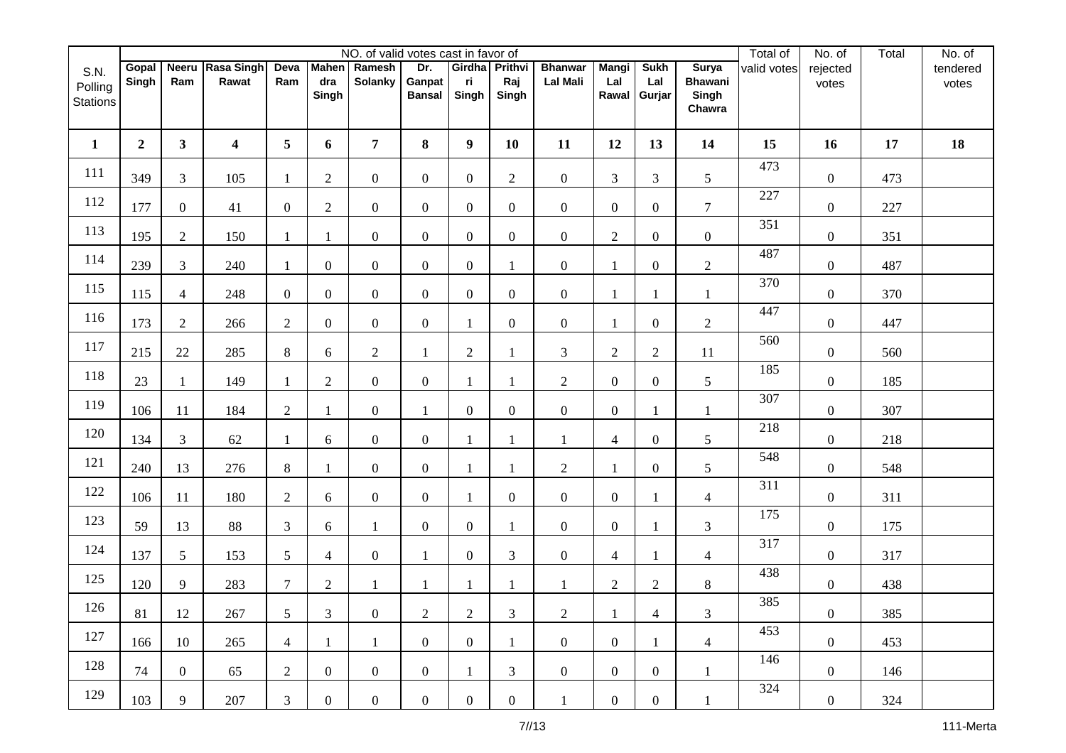|                                    |                |                |                           |                |                | NO. of valid votes cast in favor of |                                |                               |                  |                                   |                              |                              |                                                   | Total of    | No. of            | Total | No. of            |
|------------------------------------|----------------|----------------|---------------------------|----------------|----------------|-------------------------------------|--------------------------------|-------------------------------|------------------|-----------------------------------|------------------------------|------------------------------|---------------------------------------------------|-------------|-------------------|-------|-------------------|
| S.N.<br>Polling<br><b>Stations</b> | Gopal<br>Singh | Ram            | Neeru Rasa Singh<br>Rawat | Deva<br>Ram    | dra<br>Singh   | Mahen Ramesh<br><b>Solanky</b>      | Dr.<br>Ganpat<br><b>Bansal</b> | Girdha Prithvi<br>ri<br>Singh | Raj<br>Singh     | <b>Bhanwar</b><br><b>Lal Mali</b> | <b>Mangi</b><br>Lal<br>Rawal | <b>Sukh</b><br>Lal<br>Gurjar | <b>Surya</b><br><b>Bhawani</b><br>Singh<br>Chawra | valid votes | rejected<br>votes |       | tendered<br>votes |
| $\mathbf{1}$                       | $\overline{2}$ | $\mathbf{3}$   | $\overline{\mathbf{4}}$   | 5              | 6              | $\overline{7}$                      | 8                              | $\boldsymbol{9}$              | 10               | 11                                | 12                           | 13                           | 14                                                | 15          | 16                | 17    | 18                |
| 111                                | 349            | 3              | 105                       | -1             | $\overline{2}$ | $\overline{0}$                      | $\overline{0}$                 | $\boldsymbol{0}$              | $\overline{2}$   | $\boldsymbol{0}$                  | $\mathfrak{Z}$               | 3                            | $\sqrt{5}$                                        | 473         | $\boldsymbol{0}$  | 473   |                   |
| 112                                | 177            | $\overline{0}$ | 41                        | $\overline{0}$ | $\overline{2}$ | $\overline{0}$                      | $\overline{0}$                 | $\boldsymbol{0}$              | $\overline{0}$   | $\overline{0}$                    | $\boldsymbol{0}$             | $\overline{0}$               | $\tau$                                            | 227         | $\boldsymbol{0}$  | 227   |                   |
| 113                                | 195            | $\overline{2}$ | 150                       | -1             | 1              | $\mathbf{0}$                        | $\overline{0}$                 | $\boldsymbol{0}$              | $\overline{0}$   | $\boldsymbol{0}$                  | $\sqrt{2}$                   | $\overline{0}$               | $\boldsymbol{0}$                                  | 351         | $\boldsymbol{0}$  | 351   |                   |
| 114                                | 239            | 3              | 240                       | $\overline{1}$ | $\overline{0}$ | $\boldsymbol{0}$                    | $\overline{0}$                 | $\boldsymbol{0}$              |                  | $\boldsymbol{0}$                  | -1                           | $\boldsymbol{0}$             | $\sqrt{2}$                                        | 487         | $\boldsymbol{0}$  | 487   |                   |
| 115                                | 115            | $\overline{4}$ | 248                       | $\overline{0}$ | $\overline{0}$ | $\overline{0}$                      | $\overline{0}$                 | $\overline{0}$                | $\overline{0}$   | $\boldsymbol{0}$                  | 1                            |                              | 1                                                 | 370         | $\boldsymbol{0}$  | 370   |                   |
| 116                                | 173            | $\overline{2}$ | 266                       | $\overline{2}$ | $\overline{0}$ | $\overline{0}$                      | $\overline{0}$                 | 1                             | $\overline{0}$   | $\overline{0}$                    | 1                            | $\overline{0}$               | $\overline{c}$                                    | 447         | $\boldsymbol{0}$  | 447   |                   |
| 117                                | 215            | 22             | 285                       | 8              | 6              | $\overline{c}$                      |                                | $\overline{2}$                |                  | 3                                 | $\sqrt{2}$                   | $\overline{2}$               | 11                                                | 560         | $\boldsymbol{0}$  | 560   |                   |
| 118                                | 23             | $\mathbf{1}$   | 149                       |                | $\overline{c}$ | $\overline{0}$                      | $\boldsymbol{0}$               | 1                             |                  | $\overline{2}$                    | $\boldsymbol{0}$             | $\overline{0}$               | $\mathfrak s$                                     | 185         | $\boldsymbol{0}$  | 185   |                   |
| 119                                | 106            | 11             | 184                       | $\overline{2}$ | 1              | $\boldsymbol{0}$                    | $\mathbf{1}$                   | $\boldsymbol{0}$              | $\boldsymbol{0}$ | $\boldsymbol{0}$                  | $\boldsymbol{0}$             | -1                           | $\mathbf{1}$                                      | 307         | $\boldsymbol{0}$  | 307   |                   |
| 120                                | 134            | 3              | 62                        | $\mathbf{1}$   | 6              | $\overline{0}$                      | $\overline{0}$                 | $\mathbf{1}$                  |                  | 1                                 | $\overline{4}$               | $\boldsymbol{0}$             | 5                                                 | 218         | $\boldsymbol{0}$  | 218   |                   |
| 121                                | 240            | 13             | 276                       | 8              | 1              | $\overline{0}$                      | $\overline{0}$                 | $\mathbf{1}$                  |                  | $\overline{c}$                    | 1                            | $\overline{0}$               | 5                                                 | 548         | $\boldsymbol{0}$  | 548   |                   |
| 122                                | 106            | 11             | 180                       | 2              | 6              | $\overline{0}$                      | $\overline{0}$                 | $\mathbf{1}$                  | $\overline{0}$   | $\boldsymbol{0}$                  | $\boldsymbol{0}$             |                              | $\overline{4}$                                    | 311         | $\boldsymbol{0}$  | 311   |                   |
| 123                                | 59             | 13             | 88                        | 3              | 6              | $\mathbf{1}$                        | $\overline{0}$                 | $\boldsymbol{0}$              |                  | $\overline{0}$                    | $\boldsymbol{0}$             |                              | $\mathfrak{Z}$                                    | 175         | $\boldsymbol{0}$  | 175   |                   |
| 124                                | 137            | 5              | 153                       | 5              | $\overline{4}$ | $\boldsymbol{0}$                    | 1                              | $\boldsymbol{0}$              | 3                | $\boldsymbol{0}$                  | $\overline{4}$               |                              | $\overline{4}$                                    | 317         | $\boldsymbol{0}$  | 317   |                   |
| 125                                | 120            | 9              | 283                       | $\overline{7}$ | $\overline{c}$ | $\mathbf{1}$                        | 1                              | $\mathbf{1}$                  | 1                | $\mathbf{1}$                      | $\mathbf{2}$                 | $\overline{c}$               | $\,8\,$                                           | 438         | $\boldsymbol{0}$  | 438   |                   |
| 126                                | 81             | $12\,$         | 267                       | 5              | $\overline{3}$ | $\overline{0}$                      | $\overline{2}$                 | $\mathbf{2}$                  | $\mathfrak{Z}$   | $\overline{c}$                    | $\mathbf{1}$                 | $\overline{4}$               | $\mathfrak{Z}$                                    | 385         | $\mathbf{0}$      | 385   |                   |
| 127                                | 166            | 10             | 265                       | $\overline{4}$ | $\mathbf{1}$   | $\mathbf{1}$                        | $\overline{0}$                 | $\boldsymbol{0}$              | $\mathbf{1}$     | $\overline{0}$                    | $\overline{0}$               | 1                            | $\overline{4}$                                    | 453         | $\overline{0}$    | 453   |                   |
| 128                                | 74             | $\overline{0}$ | 65                        | $\overline{2}$ | $\overline{0}$ | $\overline{0}$                      | $\overline{0}$                 | $\mathbf{1}$                  | 3                | $\overline{0}$                    | $\overline{0}$               | $\overline{0}$               | 1                                                 | 146         | $\overline{0}$    | 146   |                   |
| 129                                | 103            | 9              | 207                       | 3              | $\overline{0}$ | $\overline{0}$                      | $\overline{0}$                 | $\boldsymbol{0}$              | $\overline{0}$   | $\mathbf{1}$                      | $\overline{0}$               | $\overline{0}$               | 1                                                 | 324         | $\overline{0}$    | 324   |                   |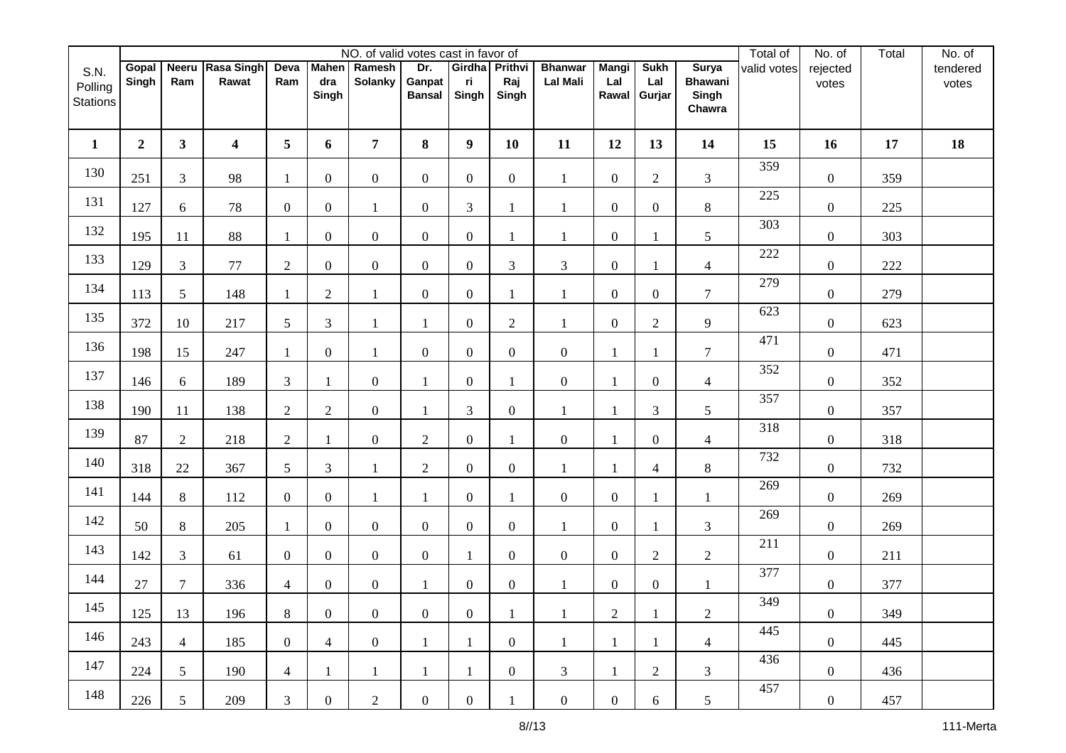|                                    |                |                |                           |                  |                | NO. of valid votes cast in favor of |                                |                               |                  |                                   |                              |                              |                                                   | Total of    | No. of            | Total | No. of            |
|------------------------------------|----------------|----------------|---------------------------|------------------|----------------|-------------------------------------|--------------------------------|-------------------------------|------------------|-----------------------------------|------------------------------|------------------------------|---------------------------------------------------|-------------|-------------------|-------|-------------------|
| S.N.<br>Polling<br><b>Stations</b> | Gopal<br>Singh | Ram            | Neeru Rasa Singh<br>Rawat | Deva<br>Ram      | dra<br>Singh   | Mahen Ramesh<br><b>Solanky</b>      | Dr.<br>Ganpat<br><b>Bansal</b> | Girdha Prithvi<br>ri<br>Singh | Raj<br>Singh     | <b>Bhanwar</b><br><b>Lal Mali</b> | <b>Mangi</b><br>Lal<br>Rawal | <b>Sukh</b><br>Lal<br>Gurjar | <b>Surya</b><br><b>Bhawani</b><br>Singh<br>Chawra | valid votes | rejected<br>votes |       | tendered<br>votes |
| $\mathbf{1}$                       | $\overline{2}$ | $\mathbf{3}$   | $\overline{\mathbf{4}}$   | 5                | 6              | $\overline{7}$                      | 8                              | $\boldsymbol{9}$              | 10               | 11                                | 12                           | 13                           | 14                                                | 15          | 16                | 17    | 18                |
| 130                                | 251            | 3              | 98                        | -1               | $\overline{0}$ | $\overline{0}$                      | $\overline{0}$                 | $\boldsymbol{0}$              | $\overline{0}$   | $\mathbf{1}$                      | $\boldsymbol{0}$             | $\overline{2}$               | 3                                                 | 359         | $\boldsymbol{0}$  | 359   |                   |
| 131                                | 127            | 6              | 78                        | $\theta$         | $\overline{0}$ | $\mathbf{1}$                        | $\overline{0}$                 | 3                             |                  | 1                                 | $\boldsymbol{0}$             | $\overline{0}$               | $\,8\,$                                           | 225         | $\boldsymbol{0}$  | 225   |                   |
| 132                                | 195            | 11             | 88                        | -1               | $\overline{0}$ | $\boldsymbol{0}$                    | $\overline{0}$                 | $\boldsymbol{0}$              | 1                | 1                                 | $\boldsymbol{0}$             |                              | $\sqrt{5}$                                        | 303         | $\boldsymbol{0}$  | 303   |                   |
| 133                                | 129            | 3              | 77                        | $\overline{2}$   | $\overline{0}$ | $\boldsymbol{0}$                    | $\overline{0}$                 | $\boldsymbol{0}$              | 3                | 3                                 | $\boldsymbol{0}$             |                              | $\overline{4}$                                    | 222         | $\boldsymbol{0}$  | 222   |                   |
| 134                                | 113            | 5              | 148                       | $\mathbf{1}$     | $\overline{2}$ | $\mathbf{1}$                        | $\overline{0}$                 | $\boldsymbol{0}$              |                  | $\mathbf{1}$                      | $\boldsymbol{0}$             | $\overline{0}$               | $\overline{7}$                                    | 279         | $\boldsymbol{0}$  | 279   |                   |
| 135                                | 372            | 10             | 217                       | 5                | 3              | $\mathbf{1}$                        | $\mathbf{1}$                   | $\boldsymbol{0}$              | $\overline{2}$   | 1                                 | $\boldsymbol{0}$             | $\overline{2}$               | 9                                                 | 623         | $\boldsymbol{0}$  | 623   |                   |
| 136                                | 198            | 15             | 247                       | -1               | $\overline{0}$ | $\mathbf{1}$                        | $\overline{0}$                 | $\boldsymbol{0}$              | $\overline{0}$   | $\overline{0}$                    | -1                           |                              | $\overline{7}$                                    | 471         | $\boldsymbol{0}$  | 471   |                   |
| 137                                | 146            | 6              | 189                       | 3                | 1              | $\overline{0}$                      |                                | $\boldsymbol{0}$              |                  | $\boldsymbol{0}$                  |                              | $\boldsymbol{0}$             | $\overline{4}$                                    | 352         | $\boldsymbol{0}$  | 352   |                   |
| 138                                | 190            | 11             | 138                       | $\overline{2}$   | $\overline{c}$ | $\boldsymbol{0}$                    | 1                              | $\mathfrak{Z}$                | $\boldsymbol{0}$ | 1                                 | 1                            | 3                            | $\sqrt{5}$                                        | 357         | $\boldsymbol{0}$  | 357   |                   |
| 139                                | 87             | $\overline{2}$ | 218                       | $\overline{2}$   | 1              | $\overline{0}$                      | $\overline{2}$                 | $\boldsymbol{0}$              |                  | $\boldsymbol{0}$                  | -1                           | $\boldsymbol{0}$             | $\overline{4}$                                    | 318         | $\boldsymbol{0}$  | 318   |                   |
| 140                                | 318            | 22             | 367                       | 5                | $\overline{3}$ | $\mathbf{1}$                        | $\overline{2}$                 | $\boldsymbol{0}$              | $\mathbf{0}$     | 1                                 | 1                            | $\overline{4}$               | $\,8\,$                                           | 732         | $\boldsymbol{0}$  | 732   |                   |
| 141                                | 144            | 8              | 112                       | $\overline{0}$   | $\overline{0}$ | $\mathbf{1}$                        | $\mathbf{1}$                   | $\boldsymbol{0}$              | 1                | $\overline{0}$                    | $\boldsymbol{0}$             |                              | $\mathbf{1}$                                      | 269         | $\boldsymbol{0}$  | 269   |                   |
| 142                                | 50             | 8              | 205                       | $\mathbf{1}$     | $\overline{0}$ | $\overline{0}$                      | $\overline{0}$                 | $\boldsymbol{0}$              | $\overline{0}$   | $\mathbf{1}$                      | $\boldsymbol{0}$             |                              | $\mathfrak{Z}$                                    | 269         | $\boldsymbol{0}$  | 269   |                   |
| 143                                | 142            | 3              | 61                        | $\boldsymbol{0}$ | $\overline{0}$ | $\overline{0}$                      | $\overline{0}$                 | $\mathbf{1}$                  | $\overline{0}$   | $\overline{0}$                    | $\boldsymbol{0}$             | $\overline{2}$               | $\boldsymbol{2}$                                  | 211         | $\boldsymbol{0}$  | 211   |                   |
| 144                                | $27\,$         | $\tau$         | 336                       | 4                | $\overline{0}$ | $\mathbf{0}$                        | $\mathbf{1}$                   | $\boldsymbol{0}$              | $\boldsymbol{0}$ | $\mathbf{1}$                      | $\boldsymbol{0}$             | $\boldsymbol{0}$             | $\mathbf{1}$                                      | 377         | $\boldsymbol{0}$  | 377   |                   |
| 145                                | 125            | 13             | 196                       | 8                | $\overline{0}$ | $\overline{0}$                      | $\overline{0}$                 | $\overline{0}$                | $\mathbf{1}$     | $\mathbf{1}$                      | $\overline{c}$               | $\mathbf{1}$                 | $\overline{c}$                                    | 349         | $\mathbf{0}$      | 349   |                   |
| 146                                | 243            | $\overline{4}$ | 185                       | $\overline{0}$   | $\overline{4}$ | $\overline{0}$                      | $\mathbf{1}$                   | 1                             | $\overline{0}$   | $\mathbf{1}$                      | $\mathbf{1}$                 | 1                            | $\overline{4}$                                    | 445         | $\overline{0}$    | 445   |                   |
| 147                                | 224            | 5 <sup>1</sup> | 190                       | $\overline{4}$   | 1              | $\mathbf{1}$                        | 1                              | 1                             | $\overline{0}$   | $\mathfrak{Z}$                    | 1                            | 2                            | 3                                                 | 436         | $\overline{0}$    | 436   |                   |
| 148                                | 226            | 5 <sup>1</sup> | 209                       | 3                | $\overline{0}$ | $\overline{c}$                      | $\overline{0}$                 | $\boldsymbol{0}$              |                  | $\overline{0}$                    | $\overline{0}$               | 6                            | 5                                                 | 457         | $\overline{0}$    | 457   |                   |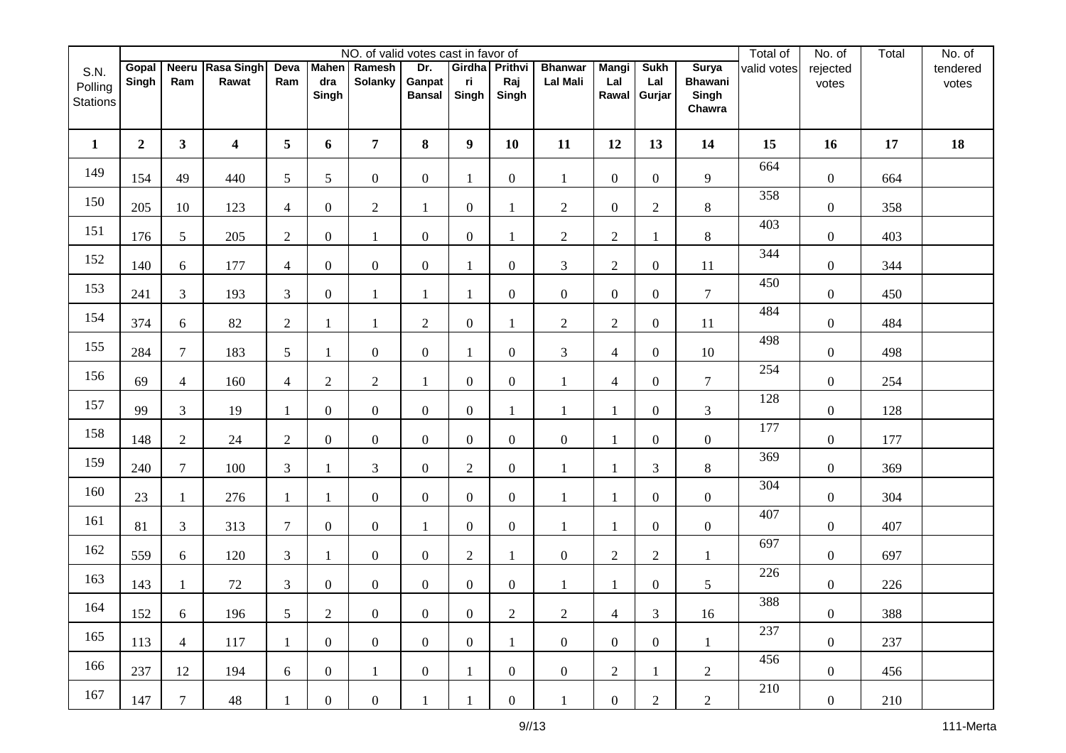|                                    |                |                |                           |                |                              | NO. of valid votes cast in favor of |                                |                               |                  |                                   |                              |                              |                                                   | Total of    | No. of            | Total | No. of            |
|------------------------------------|----------------|----------------|---------------------------|----------------|------------------------------|-------------------------------------|--------------------------------|-------------------------------|------------------|-----------------------------------|------------------------------|------------------------------|---------------------------------------------------|-------------|-------------------|-------|-------------------|
| S.N.<br>Polling<br><b>Stations</b> | Gopal<br>Singh | Ram            | Neeru Rasa Singh<br>Rawat | Deva<br>Ram    | <b>Mahen</b><br>dra<br>Singh | Ramesh<br><b>Solanky</b>            | Dr.<br>Ganpat<br><b>Bansal</b> | Girdha Prithvi<br>ri<br>Singh | Raj<br>Singh     | <b>Bhanwar</b><br><b>Lal Mali</b> | <b>Mangi</b><br>Lal<br>Rawal | <b>Sukh</b><br>Lal<br>Gurjar | <b>Surya</b><br><b>Bhawani</b><br>Singh<br>Chawra | valid votes | rejected<br>votes |       | tendered<br>votes |
| $\mathbf{1}$                       | $\overline{2}$ | $\mathbf{3}$   | $\overline{\mathbf{4}}$   | 5              | 6                            | $\overline{7}$                      | 8                              | $\boldsymbol{9}$              | 10               | 11                                | 12                           | 13                           | 14                                                | 15          | 16                | 17    | 18                |
| 149                                | 154            | 49             | 440                       | 5              | 5 <sup>5</sup>               | $\overline{0}$                      | $\overline{0}$                 | $\mathbf{1}$                  | $\overline{0}$   | $\mathbf{1}$                      | $\overline{0}$               | $\overline{0}$               | 9                                                 | 664         | $\boldsymbol{0}$  | 664   |                   |
| 150                                | 205            | 10             | 123                       | $\overline{4}$ | $\overline{0}$               | $\overline{c}$                      |                                | $\boldsymbol{0}$              |                  | $\overline{c}$                    | $\boldsymbol{0}$             | $\overline{2}$               | $\,8\,$                                           | 358         | $\boldsymbol{0}$  | 358   |                   |
| 151                                | 176            | 5              | 205                       | $\overline{2}$ | $\overline{0}$               | $\mathbf{1}$                        | $\overline{0}$                 | $\boldsymbol{0}$              | 1                | $\overline{c}$                    | $\sqrt{2}$                   |                              | $\,8\,$                                           | 403         | $\boldsymbol{0}$  | 403   |                   |
| 152                                | 140            | 6              | 177                       | $\overline{4}$ | $\overline{0}$               | $\boldsymbol{0}$                    | $\overline{0}$                 | 1                             | $\overline{0}$   | 3                                 | $\sqrt{2}$                   | $\boldsymbol{0}$             | 11                                                | 344         | $\boldsymbol{0}$  | 344   |                   |
| 153                                | 241            | 3              | 193                       | 3              | $\overline{0}$               | $\mathbf{1}$                        | $\mathbf{1}$                   | 1                             | $\overline{0}$   | $\boldsymbol{0}$                  | $\boldsymbol{0}$             | $\boldsymbol{0}$             | $\tau$                                            | 450         | $\boldsymbol{0}$  | 450   |                   |
| 154                                | 374            | 6              | 82                        | 2              | 1                            | $\mathbf{1}$                        | $\overline{2}$                 | $\boldsymbol{0}$              | -1               | $\overline{2}$                    | $\mathbf{2}$                 | $\overline{0}$               | 11                                                | 484         | $\boldsymbol{0}$  | 484   |                   |
| 155                                | 284            | $\overline{7}$ | 183                       | 5              | 1                            | $\overline{0}$                      | $\overline{0}$                 | $\mathbf{1}$                  | $\overline{0}$   | 3                                 | $\overline{4}$               | $\overline{0}$               | 10                                                | 498         | $\boldsymbol{0}$  | 498   |                   |
| 156                                | 69             | $\overline{4}$ | 160                       | $\overline{4}$ | $\overline{2}$               | $\overline{2}$                      |                                | $\boldsymbol{0}$              | $\boldsymbol{0}$ | 1                                 | $\overline{4}$               | $\overline{0}$               | $\tau$                                            | 254         | $\boldsymbol{0}$  | 254   |                   |
| 157                                | 99             | 3              | 19                        | $\mathbf{1}$   | $\overline{0}$               | $\boldsymbol{0}$                    | $\boldsymbol{0}$               | $\boldsymbol{0}$              | 1                | 1                                 | 1                            | $\boldsymbol{0}$             | $\mathfrak{Z}$                                    | 128         | $\boldsymbol{0}$  | 128   |                   |
| 158                                | 148            | $\overline{2}$ | 24                        | $\overline{2}$ | $\overline{0}$               | $\overline{0}$                      | $\overline{0}$                 | $\boldsymbol{0}$              | $\mathbf{0}$     | $\overline{0}$                    | -1                           | $\boldsymbol{0}$             | $\boldsymbol{0}$                                  | 177         | $\boldsymbol{0}$  | 177   |                   |
| 159                                | 240            | $\tau$         | 100                       | $\overline{3}$ | 1                            | $\overline{3}$                      | $\overline{0}$                 | $\overline{2}$                | $\overline{0}$   | 1                                 | 1                            | 3                            | $\,8\,$                                           | 369         | $\boldsymbol{0}$  | 369   |                   |
| 160                                | 23             | $\mathbf{1}$   | 276                       | -1             | $\mathbf{1}$                 | $\overline{0}$                      | $\overline{0}$                 | $\boldsymbol{0}$              | $\overline{0}$   | 1                                 | $\mathbf{1}$                 | $\boldsymbol{0}$             | $\boldsymbol{0}$                                  | 304         | $\boldsymbol{0}$  | 304   |                   |
| 161                                | 81             | 3              | 313                       | $\overline{7}$ | $\overline{0}$               | $\overline{0}$                      | 1                              | $\boldsymbol{0}$              | $\overline{0}$   | 1                                 |                              | $\overline{0}$               | $\boldsymbol{0}$                                  | 407         | $\boldsymbol{0}$  | 407   |                   |
| 162                                | 559            | 6              | 120                       | 3              | 1                            | $\boldsymbol{0}$                    | $\overline{0}$                 | $\mathfrak{2}$                | $\mathbf{1}$     | $\boldsymbol{0}$                  | $\sqrt{2}$                   | $\mathbf{2}$                 | 1                                                 | 697         | $\boldsymbol{0}$  | 697   |                   |
| 163                                | 143            | $\mathbf{1}$   | $72\,$                    | 3              | $\overline{0}$               | $\mathbf{0}$                        | $\overline{0}$                 | $\boldsymbol{0}$              | $\boldsymbol{0}$ | $\mathbf{1}$                      | $\mathbf{1}$                 | $\boldsymbol{0}$             | $\mathfrak s$                                     | 226         | $\boldsymbol{0}$  | 226   |                   |
| 164                                | 152            | 6              | 196                       | 5              | $\overline{2}$               | $\overline{0}$                      | $\overline{0}$                 | $\mathbf{0}$                  | $\overline{2}$   | $\overline{c}$                    | $\overline{4}$               | 3                            | 16                                                | 388         | $\overline{0}$    | 388   |                   |
| 165                                | 113            | $\overline{4}$ | 117                       | -1             | $\overline{0}$               | $\overline{0}$                      | $\overline{0}$                 | $\boldsymbol{0}$              | $\mathbf{1}$     | $\overline{0}$                    | $\overline{0}$               | $\overline{0}$               | 1                                                 | 237         | $\overline{0}$    | 237   |                   |
| 166                                | 237            | 12             | 194                       | 6              | $\overline{0}$               | $\mathbf{1}$                        | $\overline{0}$                 | $\mathbf{1}$                  | $\overline{0}$   | $\overline{0}$                    | $\overline{2}$               |                              | $\overline{2}$                                    | 456         | $\overline{0}$    | 456   |                   |
| 167                                | 147            | $\overline{7}$ | 48                        |                | $\overline{0}$               | $\overline{0}$                      |                                | $\mathbf{1}$                  | $\overline{0}$   | $\mathbf{1}$                      | $\overline{0}$               | $\overline{2}$               | $\overline{2}$                                    | 210         | $\overline{0}$    | 210   |                   |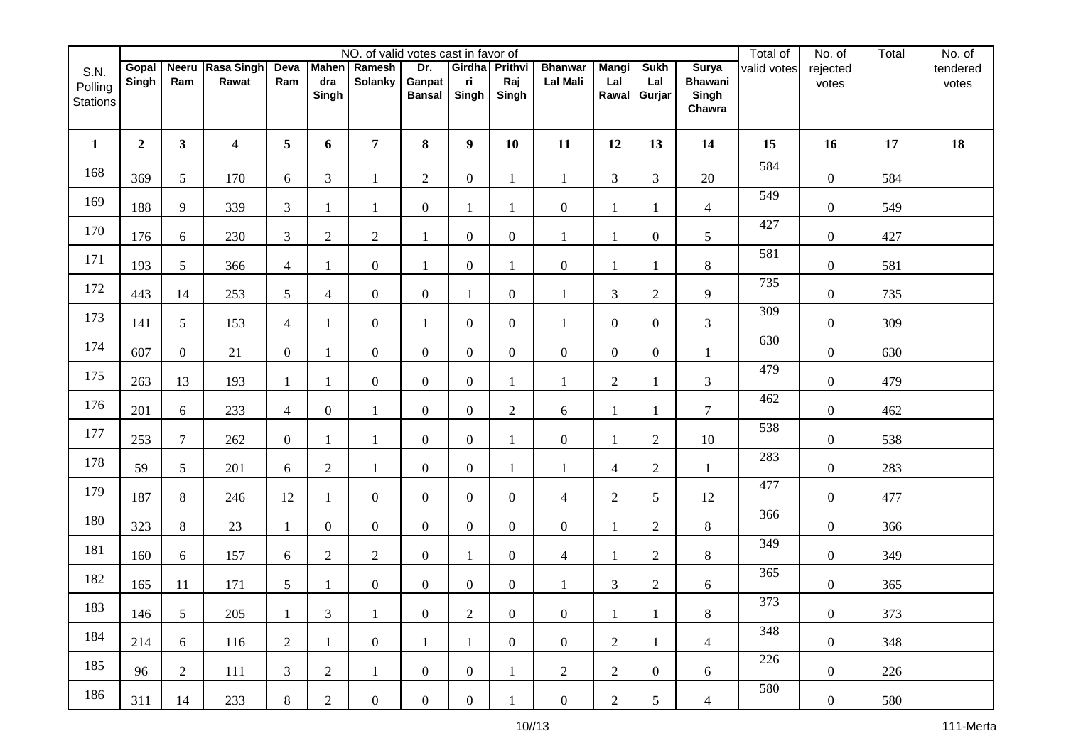|                                    |                |                 |                           |                          |                              | NO. of valid votes cast in favor of |                                |                               |                  |                                   |                              |                              |                                                   | Total of    | No. of            | Total | No. of            |
|------------------------------------|----------------|-----------------|---------------------------|--------------------------|------------------------------|-------------------------------------|--------------------------------|-------------------------------|------------------|-----------------------------------|------------------------------|------------------------------|---------------------------------------------------|-------------|-------------------|-------|-------------------|
| S.N.<br>Polling<br><b>Stations</b> | Gopal<br>Singh | Ram             | Neeru Rasa Singh<br>Rawat | Deva<br>Ram              | <b>Mahen</b><br>dra<br>Singh | Ramesh<br><b>Solanky</b>            | Dr.<br>Ganpat<br><b>Bansal</b> | Girdha Prithvi<br>ri<br>Singh | Raj<br>Singh     | <b>Bhanwar</b><br><b>Lal Mali</b> | <b>Mangi</b><br>Lal<br>Rawal | <b>Sukh</b><br>Lal<br>Gurjar | <b>Surya</b><br><b>Bhawani</b><br>Singh<br>Chawra | valid votes | rejected<br>votes |       | tendered<br>votes |
| $\mathbf{1}$                       | $\overline{2}$ | $\mathbf{3}$    | 4                         | 5                        | 6                            | $\overline{7}$                      | 8                              | $\boldsymbol{9}$              | 10               | 11                                | 12                           | 13                           | 14                                                | 15          | 16                | 17    | 18                |
| 168                                | 369            | 5               | 170                       | 6                        | 3                            | $\mathbf{1}$                        | $\overline{2}$                 | $\boldsymbol{0}$              | 1                | $\mathbf{1}$                      | $\mathfrak{Z}$               | 3                            | 20                                                | 584         | $\boldsymbol{0}$  | 584   |                   |
| 169                                | 188            | 9               | 339                       | 3                        | 1                            | 1                                   | $\boldsymbol{0}$               | 1                             |                  | $\boldsymbol{0}$                  |                              |                              | $\overline{4}$                                    | 549         | $\boldsymbol{0}$  | 549   |                   |
| 170                                | 176            | 6               | 230                       | 3                        | $\overline{c}$               | $\overline{2}$                      | 1                              | $\boldsymbol{0}$              | $\mathbf{0}$     | 1                                 | 1                            | $\overline{0}$               | $\sqrt{5}$                                        | 427         | $\boldsymbol{0}$  | 427   |                   |
| 171                                | 193            | 5               | 366                       | $\overline{\mathcal{A}}$ |                              | $\overline{0}$                      |                                | $\boldsymbol{0}$              |                  | $\boldsymbol{0}$                  |                              |                              | $\,8\,$                                           | 581         | $\boldsymbol{0}$  | 581   |                   |
| 172                                | 443            | 14              | 253                       | 5                        | $\overline{4}$               | $\overline{0}$                      | $\overline{0}$                 | $\mathbf{1}$                  | $\overline{0}$   | $\mathbf{1}$                      | 3                            | $\overline{2}$               | 9                                                 | 735         | $\boldsymbol{0}$  | 735   |                   |
| 173                                | 141            | 5               | 153                       | $\overline{4}$           | 1                            | $\overline{0}$                      | 1                              | $\boldsymbol{0}$              | $\overline{0}$   | 1                                 | $\boldsymbol{0}$             | $\overline{0}$               | 3                                                 | 309         | $\boldsymbol{0}$  | 309   |                   |
| 174                                | 607            | $\overline{0}$  | 21                        | $\overline{0}$           | 1                            | $\overline{0}$                      | $\overline{0}$                 | $\boldsymbol{0}$              | $\overline{0}$   | $\overline{0}$                    | $\boldsymbol{0}$             | $\overline{0}$               | $\mathbf{1}$                                      | 630         | $\boldsymbol{0}$  | 630   |                   |
| 175                                | 263            | 13              | 193                       |                          | 1                            | $\mathbf{0}$                        | $\overline{0}$                 | $\boldsymbol{0}$              |                  | 1                                 | $\mathfrak{2}$               |                              | $\mathfrak{Z}$                                    | 479         | $\boldsymbol{0}$  | 479   |                   |
| 176                                | 201            | 6               | 233                       | $\overline{4}$           | $\boldsymbol{0}$             | $\mathbf{1}$                        | $\boldsymbol{0}$               | $\boldsymbol{0}$              | $\sqrt{2}$       | 6                                 | 1                            | -1                           | $\tau$                                            | 462         | $\boldsymbol{0}$  | 462   |                   |
| 177                                | 253            | $\tau$          | 262                       | $\overline{0}$           | 1                            | $\mathbf{1}$                        | $\overline{0}$                 | $\boldsymbol{0}$              |                  | $\overline{0}$                    |                              | $\overline{2}$               | $10\,$                                            | 538         | $\boldsymbol{0}$  | 538   |                   |
| 178                                | 59             | 5               | 201                       | 6                        | $\overline{2}$               | $\mathbf{1}$                        | $\overline{0}$                 | $\boldsymbol{0}$              |                  | 1                                 | $\overline{4}$               | $\overline{2}$               | 1                                                 | 283         | $\boldsymbol{0}$  | 283   |                   |
| 179                                | 187            | 8               | 246                       | 12                       | 1                            | $\overline{0}$                      | $\overline{0}$                 | $\boldsymbol{0}$              | $\overline{0}$   | 4                                 | $\mathbf{2}$                 | 5                            | 12                                                | 477         | $\boldsymbol{0}$  | 477   |                   |
| 180                                | 323            | 8               | 23                        | 1                        | $\overline{0}$               | $\overline{0}$                      | $\overline{0}$                 | $\boldsymbol{0}$              | $\overline{0}$   | $\overline{0}$                    |                              | $\overline{2}$               | $\,8\,$                                           | 366         | $\boldsymbol{0}$  | 366   |                   |
| 181                                | 160            | 6               | 157                       | 6                        | $\overline{c}$               | $\overline{2}$                      | $\overline{0}$                 | 1                             | $\overline{0}$   | 4                                 | -1                           | $\overline{2}$               | $\,8\,$                                           | 349         | $\boldsymbol{0}$  | 349   |                   |
| 182                                | 165            | 11              | 171                       | $\mathfrak{S}$           | 1                            | $\mathbf{0}$                        | $\boldsymbol{0}$               | $\boldsymbol{0}$              | $\boldsymbol{0}$ | $\mathbf{1}$                      | $\mathfrak{Z}$               | $\overline{c}$               | 6                                                 | 365         | $\boldsymbol{0}$  | 365   |                   |
| 183                                | 146            | $5\overline{)}$ | $205\,$                   | $\mathbf{1}$             | $\overline{3}$               | 1                                   | $\overline{0}$                 | $\overline{2}$                | $\overline{0}$   | $\boldsymbol{0}$                  | $\mathbf{1}$                 | $\mathbf{1}$                 | $8\,$                                             | 373         | $\overline{0}$    | 373   |                   |
| 184                                | 214            | 6               | 116                       | $\overline{2}$           | $\mathbf{1}$                 | $\overline{0}$                      | $\mathbf{1}$                   | 1                             | $\overline{0}$   | $\overline{0}$                    | $\overline{2}$               | 1                            | $\overline{4}$                                    | 348         | $\overline{0}$    | 348   |                   |
| 185                                | 96             | $\overline{2}$  | 111                       | 3                        | $\overline{2}$               | $\mathbf{1}$                        | $\overline{0}$                 | $\boldsymbol{0}$              | 1                | $\overline{2}$                    | $\overline{2}$               | $\overline{0}$               | 6                                                 | 226         | $\overline{0}$    | 226   |                   |
| 186                                | 311            | 14              | 233                       | 8                        | $\overline{2}$               | $\overline{0}$                      | $\overline{0}$                 | $\boldsymbol{0}$              |                  | $\overline{0}$                    | $\overline{2}$               | 5                            | $\overline{4}$                                    | 580         | $\overline{0}$    | 580   |                   |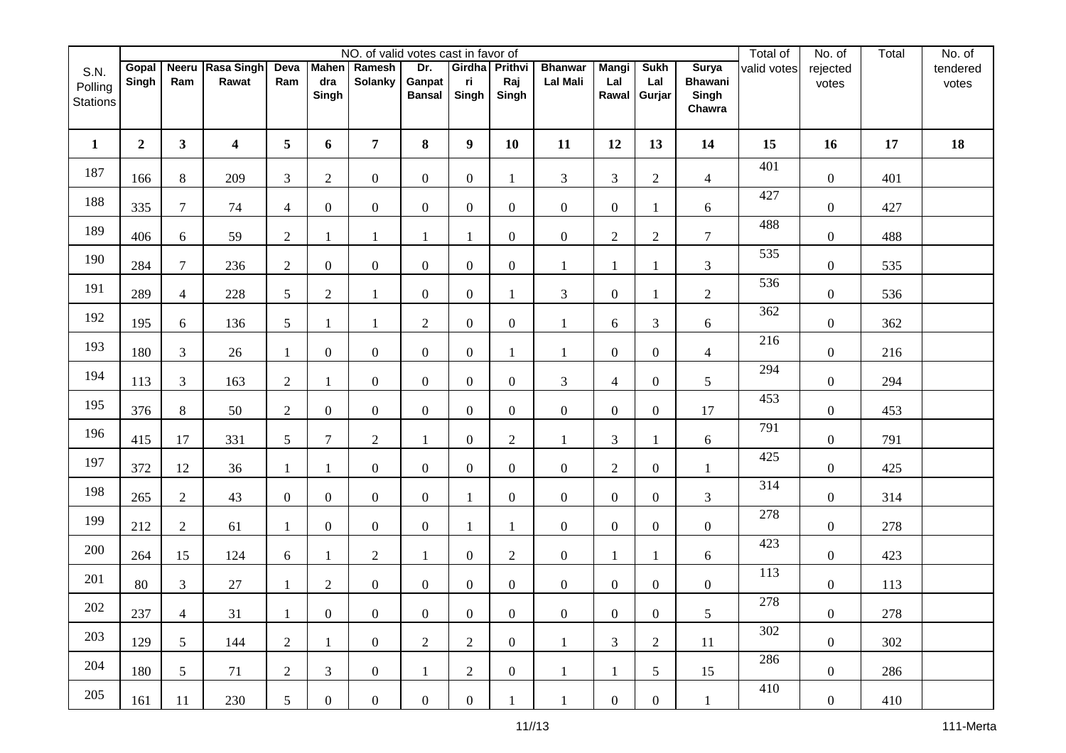|                                    |                |                |                           |                |                              | NO. of valid votes cast in favor of |                                |                               |                  |                                   |                              |                              |                                                   | Total of    | No. of            | Total | No. of            |
|------------------------------------|----------------|----------------|---------------------------|----------------|------------------------------|-------------------------------------|--------------------------------|-------------------------------|------------------|-----------------------------------|------------------------------|------------------------------|---------------------------------------------------|-------------|-------------------|-------|-------------------|
| S.N.<br>Polling<br><b>Stations</b> | Gopal<br>Singh | Ram            | Neeru Rasa Singh<br>Rawat | Deva<br>Ram    | <b>Mahen</b><br>dra<br>Singh | Ramesh<br><b>Solanky</b>            | Dr.<br>Ganpat<br><b>Bansal</b> | Girdha Prithvi<br>ri<br>Singh | Raj<br>Singh     | <b>Bhanwar</b><br><b>Lal Mali</b> | <b>Mangi</b><br>Lal<br>Rawal | <b>Sukh</b><br>Lal<br>Gurjar | <b>Surya</b><br><b>Bhawani</b><br>Singh<br>Chawra | valid votes | rejected<br>votes |       | tendered<br>votes |
| $\mathbf{1}$                       | $\overline{2}$ | $\mathbf{3}$   | 4                         | 5              | 6                            | $\overline{7}$                      | 8                              | $\boldsymbol{9}$              | 10               | 11                                | 12                           | 13                           | 14                                                | 15          | 16                | 17    | 18                |
| 187                                | 166            | 8              | 209                       | 3              | $\overline{2}$               | $\overline{0}$                      | $\overline{0}$                 | $\boldsymbol{0}$              | 1                | 3                                 | $\overline{3}$               | $\mathfrak{2}$               | $\overline{4}$                                    | 401         | $\boldsymbol{0}$  | 401   |                   |
| 188                                | 335            | $\overline{7}$ | 74                        | $\overline{4}$ | $\overline{0}$               | $\overline{0}$                      | $\overline{0}$                 | $\boldsymbol{0}$              | $\overline{0}$   | $\overline{0}$                    | $\boldsymbol{0}$             |                              | 6                                                 | 427         | $\boldsymbol{0}$  | 427   |                   |
| 189                                | 406            | 6              | 59                        | $\mathfrak{2}$ | 1                            | $\mathbf{1}$                        |                                | 1                             | $\overline{0}$   | $\boldsymbol{0}$                  | $\sqrt{2}$                   | $\overline{2}$               | $\tau$                                            | 488         | $\boldsymbol{0}$  | 488   |                   |
| 190                                | 284            | $\overline{7}$ | 236                       | $\overline{2}$ | $\overline{0}$               | $\mathbf{0}$                        | $\overline{0}$                 | $\boldsymbol{0}$              | $\overline{0}$   | 1                                 |                              |                              | $\mathfrak{Z}$                                    | 535         | $\boldsymbol{0}$  | 535   |                   |
| 191                                | 289            | $\overline{4}$ | 228                       | 5              | $\overline{2}$               | $\mathbf{1}$                        | $\overline{0}$                 | $\boldsymbol{0}$              |                  | 3                                 | $\boldsymbol{0}$             |                              | $\sqrt{2}$                                        | 536         | $\boldsymbol{0}$  | 536   |                   |
| 192                                | 195            | 6              | 136                       | 5              | 1                            | $\mathbf{1}$                        | $\overline{2}$                 | $\boldsymbol{0}$              | $\overline{0}$   | 1                                 | 6                            | 3                            | 6                                                 | 362         | $\boldsymbol{0}$  | 362   |                   |
| 193                                | 180            | 3              | 26                        | -1             | $\overline{0}$               | $\overline{0}$                      | $\overline{0}$                 | $\boldsymbol{0}$              |                  | 1                                 | $\boldsymbol{0}$             | $\overline{0}$               | $\overline{4}$                                    | 216         | $\boldsymbol{0}$  | 216   |                   |
| 194                                | 113            | 3              | 163                       | $\mathfrak{2}$ | 1                            | $\overline{0}$                      | $\overline{0}$                 | $\boldsymbol{0}$              | $\boldsymbol{0}$ | 3                                 | $\overline{4}$               | $\overline{0}$               | $\sqrt{5}$                                        | 294         | $\boldsymbol{0}$  | 294   |                   |
| 195                                | 376            | $\,8\,$        | 50                        | $\overline{2}$ | $\overline{0}$               | $\mathbf{0}$                        | $\boldsymbol{0}$               | $\boldsymbol{0}$              | $\overline{0}$   | $\boldsymbol{0}$                  | $\boldsymbol{0}$             | $\boldsymbol{0}$             | 17                                                | 453         | $\boldsymbol{0}$  | 453   |                   |
| 196                                | 415            | 17             | 331                       | 5              | $\tau$                       | $\overline{2}$                      | 1                              | $\boldsymbol{0}$              | $\overline{c}$   | 1                                 | 3                            |                              | $\sqrt{6}$                                        | 791         | $\boldsymbol{0}$  | 791   |                   |
| 197                                | 372            | 12             | 36                        | $\overline{1}$ | $\mathbf{1}$                 | $\overline{0}$                      | $\overline{0}$                 | $\mathbf{0}$                  | $\overline{0}$   | $\boldsymbol{0}$                  | $\overline{2}$               | $\overline{0}$               | 1                                                 | 425         | $\boldsymbol{0}$  | 425   |                   |
| 198                                | 265            | $\overline{2}$ | 43                        | $\overline{0}$ | $\overline{0}$               | $\overline{0}$                      | $\overline{0}$                 | $\mathbf{1}$                  | $\overline{0}$   | $\boldsymbol{0}$                  | $\overline{0}$               | $\overline{0}$               | $\mathfrak{Z}$                                    | 314         | $\boldsymbol{0}$  | 314   |                   |
| 199                                | 212            | $\overline{2}$ | 61                        |                | $\overline{0}$               | $\overline{0}$                      | $\overline{0}$                 | 1                             |                  | $\overline{0}$                    | $\boldsymbol{0}$             | $\overline{0}$               | $\boldsymbol{0}$                                  | 278         | $\boldsymbol{0}$  | 278   |                   |
| 200                                | 264            | 15             | 124                       | 6              | 1                            | $\overline{c}$                      | 1                              | $\boldsymbol{0}$              | $\overline{2}$   | $\overline{0}$                    | -1                           |                              | 6                                                 | 423         | $\boldsymbol{0}$  | 423   |                   |
| 201                                | 80             | 3              | $27\,$                    | -1             | $\mathbf{2}$                 | $\mathbf{0}$                        | $\boldsymbol{0}$               | $\boldsymbol{0}$              | $\boldsymbol{0}$ | $\boldsymbol{0}$                  | $\boldsymbol{0}$             | $\boldsymbol{0}$             | $\boldsymbol{0}$                                  | 113         | $\boldsymbol{0}$  | 113   |                   |
| 202                                | 237            | $\overline{4}$ | 31                        | $\overline{1}$ | $\overline{0}$               | $\overline{0}$                      | $\overline{0}$                 | $\overline{0}$                | $\overline{0}$   | $\overline{0}$                    | $\boldsymbol{0}$             | $\boldsymbol{0}$             | 5                                                 | 278         | $\mathbf{0}$      | 278   |                   |
| 203                                | 129            | 5 <sup>1</sup> | 144                       | $\overline{2}$ | $\mathbf{1}$                 | $\overline{0}$                      | $\overline{2}$                 | $\overline{2}$                | $\overline{0}$   | $\mathbf{1}$                      | $\mathfrak{Z}$               | $\overline{2}$               | 11                                                | 302         | $\overline{0}$    | 302   |                   |
| 204                                | 180            | 5 <sup>1</sup> | 71                        | $\overline{2}$ | $\mathfrak{Z}$               | $\overline{0}$                      | $\mathbf{1}$                   | $\mathbf{2}$                  | $\overline{0}$   | $\mathbf{1}$                      | 1                            | 5 <sub>5</sub>               | 15                                                | 286         | $\overline{0}$    | 286   |                   |
| 205                                | 161            | 11             | 230                       | 5 <sup>5</sup> | $\overline{0}$               | $\overline{0}$                      | $\overline{0}$                 | $\boldsymbol{0}$              |                  | $\mathbf{1}$                      | $\overline{0}$               | $\overline{0}$               | $\mathbf{1}$                                      | 410         | $\overline{0}$    | 410   |                   |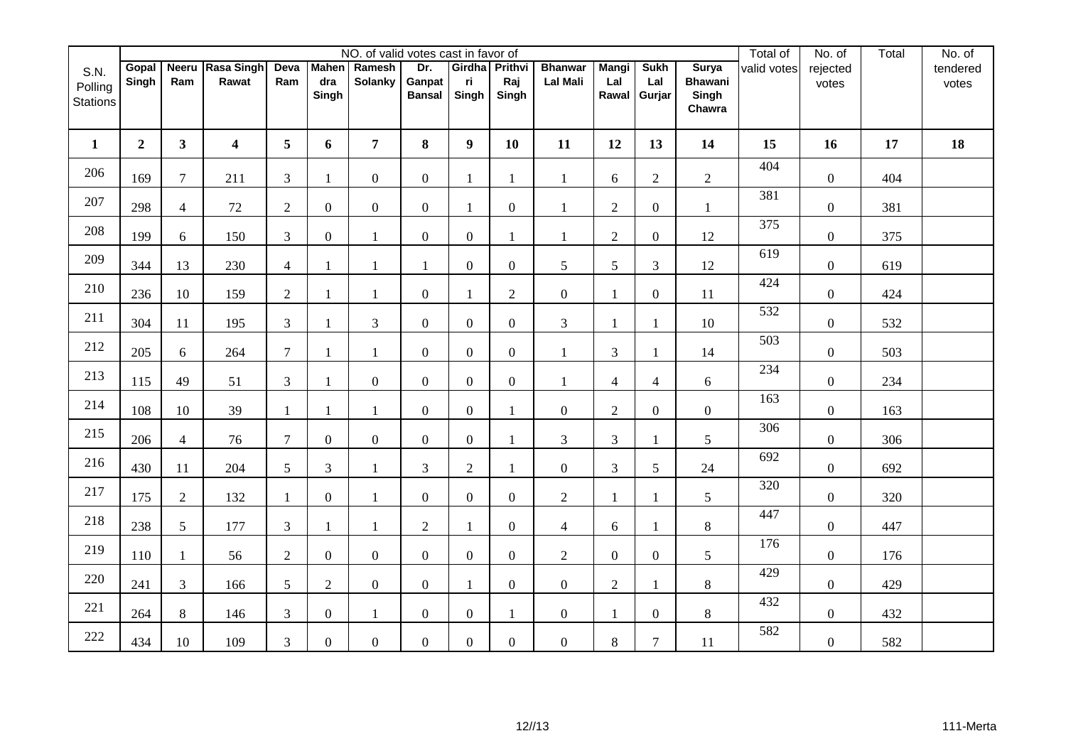|                                    |                |                |                           |                |                | NO. of valid votes cast in favor of |                                |                               |                  |                                   |                              |                              |                                                   | Total of    | No. of            | Total | No. of            |
|------------------------------------|----------------|----------------|---------------------------|----------------|----------------|-------------------------------------|--------------------------------|-------------------------------|------------------|-----------------------------------|------------------------------|------------------------------|---------------------------------------------------|-------------|-------------------|-------|-------------------|
| S.N.<br>Polling<br><b>Stations</b> | Gopal<br>Singh | Ram            | Neeru Rasa Singh<br>Rawat | Deva<br>Ram    | dra<br>Singh   | Mahen Ramesh<br><b>Solanky</b>      | Dr.<br>Ganpat<br><b>Bansal</b> | Girdha Prithvi<br>ri<br>Singh | Raj<br>Singh     | <b>Bhanwar</b><br><b>Lal Mali</b> | <b>Mangi</b><br>Lal<br>Rawal | <b>Sukh</b><br>Lal<br>Gurjar | <b>Surya</b><br><b>Bhawani</b><br>Singh<br>Chawra | valid votes | rejected<br>votes |       | tendered<br>votes |
| $\mathbf{1}$                       | $\overline{2}$ | 3 <sup>1</sup> | $\overline{\mathbf{4}}$   | 5              | 6              | $\overline{7}$                      | 8                              | $\boldsymbol{9}$              | 10               | 11                                | 12                           | 13                           | 14                                                | 15          | 16                | 17    | 18                |
| 206                                | 169            | $\overline{7}$ | 211                       | 3              | 1              | $\overline{0}$                      | $\overline{0}$                 | 1                             | $\mathbf{1}$     | 1                                 | 6                            | $\mathfrak{2}$               | $\overline{2}$                                    | 404         | $\boldsymbol{0}$  | 404   |                   |
| 207                                | 298            | $\overline{4}$ | $72\,$                    | $\overline{2}$ | $\overline{0}$ | $\overline{0}$                      | $\overline{0}$                 | $\mathbf{1}$                  | $\boldsymbol{0}$ | $\mathbf{1}$                      | $\overline{2}$               | $\boldsymbol{0}$             | $\mathbf{1}$                                      | 381         | $\boldsymbol{0}$  | 381   |                   |
| 208                                | 199            | 6              | 150                       | 3              | $\overline{0}$ | $\mathbf{1}$                        | $\mathbf{0}$                   | $\overline{0}$                | 1                | 1                                 | $\overline{2}$               | $\overline{0}$               | 12                                                | 375         | $\boldsymbol{0}$  | 375   |                   |
| 209                                | 344            | 13             | 230                       | $\overline{4}$ |                | $\mathbf{1}$                        | 1                              | $\boldsymbol{0}$              | $\overline{0}$   | 5                                 | 5                            | $\mathfrak{Z}$               | 12                                                | 619         | $\boldsymbol{0}$  | 619   |                   |
| 210                                | 236            | 10             | 159                       | $\overline{2}$ |                | $\mathbf{1}$                        | $\overline{0}$                 | 1                             | $\overline{2}$   | $\boldsymbol{0}$                  | $\mathbf{1}$                 | $\overline{0}$               | 11                                                | 424         | $\boldsymbol{0}$  | 424   |                   |
| 211                                | 304            | 11             | 195                       | 3              | 1              | 3                                   | $\overline{0}$                 | $\overline{0}$                | $\overline{0}$   | 3                                 | $\mathbf{1}$                 | 1                            | 10                                                | 532         | $\mathbf{0}$      | 532   |                   |
| 212                                | 205            | 6              | 264                       | $\overline{7}$ |                | $\mathbf{1}$                        | $\overline{0}$                 | $\boldsymbol{0}$              | $\overline{0}$   | $\mathbf{1}$                      | 3                            | $\mathbf{1}$                 | 14                                                | 503         | $\overline{0}$    | 503   |                   |
| 213                                | 115            | 49             | 51                        | 3              |                | $\overline{0}$                      | $\overline{0}$                 | $\boldsymbol{0}$              | $\overline{0}$   | $\mathbf{1}$                      | $\overline{4}$               | $\overline{4}$               | $\boldsymbol{6}$                                  | 234         | $\boldsymbol{0}$  | 234   |                   |
| 214                                | 108            | 10             | 39                        | $\overline{1}$ |                | $\mathbf{1}$                        | $\overline{0}$                 | $\boldsymbol{0}$              | $\mathbf{1}$     | $\overline{0}$                    | $\overline{2}$               | $\boldsymbol{0}$             | $\overline{0}$                                    | 163         | $\boldsymbol{0}$  | 163   |                   |
| 215                                | 206            | $\overline{4}$ | 76                        | $\tau$         | $\overline{0}$ | $\overline{0}$                      | $\overline{0}$                 | $\boldsymbol{0}$              | $\mathbf{1}$     | $\mathfrak{Z}$                    | $\mathfrak{Z}$               | -1                           | 5                                                 | 306         | $\boldsymbol{0}$  | 306   |                   |
| 216                                | 430            | 11             | 204                       | 5              | 3              | $\mathbf{1}$                        | 3                              | $\mathbf{2}$                  | $\mathbf{1}$     | $\boldsymbol{0}$                  | 3                            | 5                            | 24                                                | 692         | $\boldsymbol{0}$  | 692   |                   |
| 217                                | 175            | $\overline{2}$ | 132                       | -1             | $\overline{0}$ | $\mathbf{1}$                        | $\overline{0}$                 | $\boldsymbol{0}$              | $\overline{0}$   | $\overline{2}$                    | $\mathbf{1}$                 | -1                           | 5                                                 | 320         | $\boldsymbol{0}$  | 320   |                   |
| 218                                | 238            | 5              | 177                       | 3              | 1              | $\mathbf{1}$                        | $\overline{2}$                 | $\mathbf{1}$                  | $\overline{0}$   | $\overline{4}$                    | 6                            | -1                           | 8                                                 | 447         | $\boldsymbol{0}$  | 447   |                   |
| 219                                | 110            | $\mathbf{1}$   | 56                        | 2              | $\overline{0}$ | $\overline{0}$                      | $\overline{0}$                 | $\boldsymbol{0}$              | $\overline{0}$   | $\overline{2}$                    | $\overline{0}$               | $\mathbf{0}$                 | 5                                                 | 176         | $\boldsymbol{0}$  | 176   |                   |
| 220                                | 241            | 3              | 166                       | 5              | $\overline{2}$ | $\overline{0}$                      | $\overline{0}$                 | $\mathbf{1}$                  | $\overline{0}$   | $\overline{0}$                    | $\overline{2}$               | -1                           | 8                                                 | 429         | $\boldsymbol{0}$  | 429   |                   |
| 221                                | 264            | 8              | 146                       | 3              | $\overline{0}$ | $\mathbf{1}$                        | $\overline{0}$                 | $\boldsymbol{0}$              | 1                | $\boldsymbol{0}$                  | 1                            | $\mathbf{0}$                 | $8\,$                                             | 432         | $\overline{0}$    | 432   |                   |
| 222                                | 434            | 10             | 109                       | 3              | $\overline{0}$ | $\overline{0}$                      | $\overline{0}$                 | $\boldsymbol{0}$              | $\overline{0}$   | $\overline{0}$                    | $8\,$                        | $\overline{7}$               | 11                                                | 582         | $\boldsymbol{0}$  | 582   |                   |